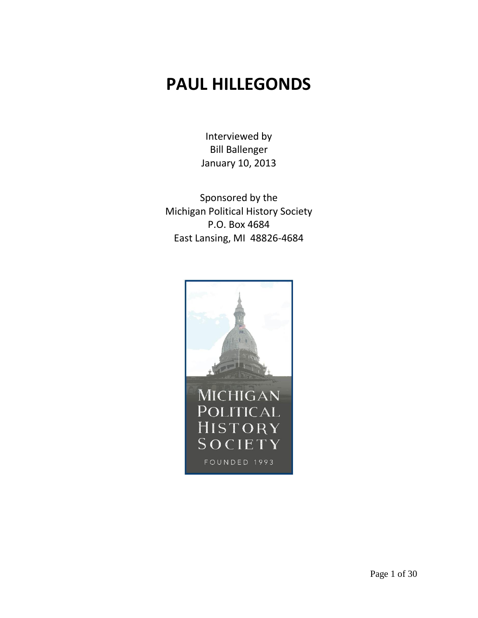## **PAUL HILLEGONDS**

Interviewed by Bill Ballenger January 10, 2013

Sponsored by the Michigan Political History Society P.O. Box 4684 East Lansing, MI 48826-4684

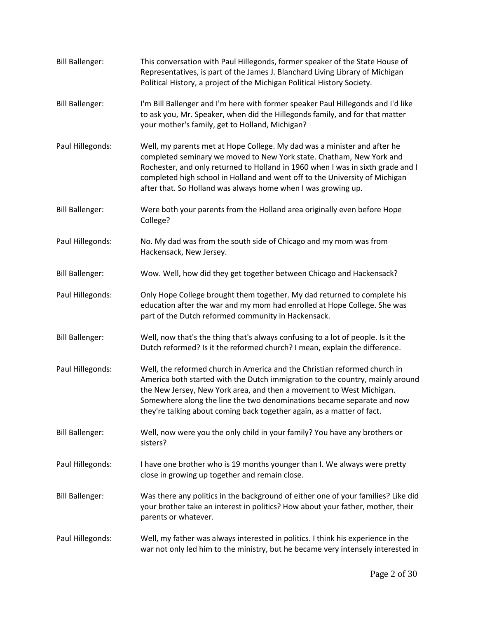| <b>Bill Ballenger:</b> | This conversation with Paul Hillegonds, former speaker of the State House of<br>Representatives, is part of the James J. Blanchard Living Library of Michigan<br>Political History, a project of the Michigan Political History Society.                                                                                                                                               |
|------------------------|----------------------------------------------------------------------------------------------------------------------------------------------------------------------------------------------------------------------------------------------------------------------------------------------------------------------------------------------------------------------------------------|
| <b>Bill Ballenger:</b> | I'm Bill Ballenger and I'm here with former speaker Paul Hillegonds and I'd like<br>to ask you, Mr. Speaker, when did the Hillegonds family, and for that matter<br>your mother's family, get to Holland, Michigan?                                                                                                                                                                    |
| Paul Hillegonds:       | Well, my parents met at Hope College. My dad was a minister and after he<br>completed seminary we moved to New York state. Chatham, New York and<br>Rochester, and only returned to Holland in 1960 when I was in sixth grade and I<br>completed high school in Holland and went off to the University of Michigan<br>after that. So Holland was always home when I was growing up.    |
| <b>Bill Ballenger:</b> | Were both your parents from the Holland area originally even before Hope<br>College?                                                                                                                                                                                                                                                                                                   |
| Paul Hillegonds:       | No. My dad was from the south side of Chicago and my mom was from<br>Hackensack, New Jersey.                                                                                                                                                                                                                                                                                           |
| <b>Bill Ballenger:</b> | Wow. Well, how did they get together between Chicago and Hackensack?                                                                                                                                                                                                                                                                                                                   |
| Paul Hillegonds:       | Only Hope College brought them together. My dad returned to complete his<br>education after the war and my mom had enrolled at Hope College. She was<br>part of the Dutch reformed community in Hackensack.                                                                                                                                                                            |
| <b>Bill Ballenger:</b> | Well, now that's the thing that's always confusing to a lot of people. Is it the<br>Dutch reformed? Is it the reformed church? I mean, explain the difference.                                                                                                                                                                                                                         |
| Paul Hillegonds:       | Well, the reformed church in America and the Christian reformed church in<br>America both started with the Dutch immigration to the country, mainly around<br>the New Jersey, New York area, and then a movement to West Michigan.<br>Somewhere along the line the two denominations became separate and now<br>they're talking about coming back together again, as a matter of fact. |
| <b>Bill Ballenger:</b> | Well, now were you the only child in your family? You have any brothers or<br>sisters?                                                                                                                                                                                                                                                                                                 |
| Paul Hillegonds:       | I have one brother who is 19 months younger than I. We always were pretty<br>close in growing up together and remain close.                                                                                                                                                                                                                                                            |
| <b>Bill Ballenger:</b> | Was there any politics in the background of either one of your families? Like did<br>your brother take an interest in politics? How about your father, mother, their<br>parents or whatever.                                                                                                                                                                                           |
| Paul Hillegonds:       | Well, my father was always interested in politics. I think his experience in the<br>war not only led him to the ministry, but he became very intensely interested in                                                                                                                                                                                                                   |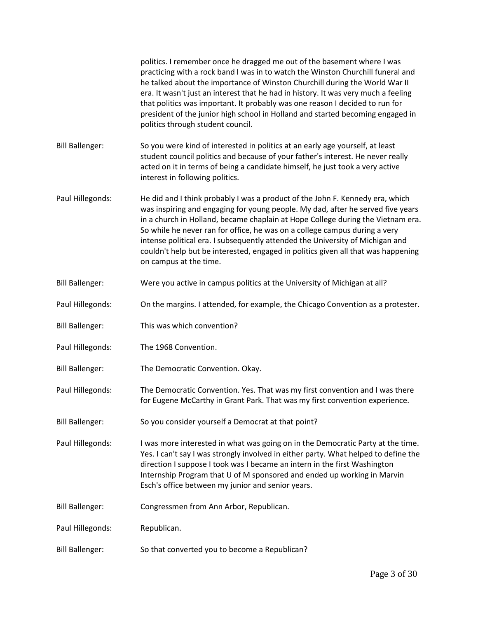|                        | politics. I remember once he dragged me out of the basement where I was<br>practicing with a rock band I was in to watch the Winston Churchill funeral and<br>he talked about the importance of Winston Churchill during the World War II<br>era. It wasn't just an interest that he had in history. It was very much a feeling<br>that politics was important. It probably was one reason I decided to run for<br>president of the junior high school in Holland and started becoming engaged in<br>politics through student council. |
|------------------------|----------------------------------------------------------------------------------------------------------------------------------------------------------------------------------------------------------------------------------------------------------------------------------------------------------------------------------------------------------------------------------------------------------------------------------------------------------------------------------------------------------------------------------------|
| <b>Bill Ballenger:</b> | So you were kind of interested in politics at an early age yourself, at least<br>student council politics and because of your father's interest. He never really<br>acted on it in terms of being a candidate himself, he just took a very active<br>interest in following politics.                                                                                                                                                                                                                                                   |
| Paul Hillegonds:       | He did and I think probably I was a product of the John F. Kennedy era, which<br>was inspiring and engaging for young people. My dad, after he served five years<br>in a church in Holland, became chaplain at Hope College during the Vietnam era.<br>So while he never ran for office, he was on a college campus during a very<br>intense political era. I subsequently attended the University of Michigan and<br>couldn't help but be interested, engaged in politics given all that was happening<br>on campus at the time.      |
| <b>Bill Ballenger:</b> | Were you active in campus politics at the University of Michigan at all?                                                                                                                                                                                                                                                                                                                                                                                                                                                               |
| Paul Hillegonds:       | On the margins. I attended, for example, the Chicago Convention as a protester.                                                                                                                                                                                                                                                                                                                                                                                                                                                        |
| <b>Bill Ballenger:</b> | This was which convention?                                                                                                                                                                                                                                                                                                                                                                                                                                                                                                             |
| Paul Hillegonds:       | The 1968 Convention.                                                                                                                                                                                                                                                                                                                                                                                                                                                                                                                   |
| <b>Bill Ballenger:</b> | The Democratic Convention. Okay.                                                                                                                                                                                                                                                                                                                                                                                                                                                                                                       |
| Paul Hillegonds:       | The Democratic Convention. Yes. That was my first convention and I was there<br>for Eugene McCarthy in Grant Park. That was my first convention experience.                                                                                                                                                                                                                                                                                                                                                                            |
| <b>Bill Ballenger:</b> | So you consider yourself a Democrat at that point?                                                                                                                                                                                                                                                                                                                                                                                                                                                                                     |
| Paul Hillegonds:       | I was more interested in what was going on in the Democratic Party at the time.<br>Yes. I can't say I was strongly involved in either party. What helped to define the<br>direction I suppose I took was I became an intern in the first Washington<br>Internship Program that U of M sponsored and ended up working in Marvin<br>Esch's office between my junior and senior years.                                                                                                                                                    |
| <b>Bill Ballenger:</b> | Congressmen from Ann Arbor, Republican.                                                                                                                                                                                                                                                                                                                                                                                                                                                                                                |
| Paul Hillegonds:       | Republican.                                                                                                                                                                                                                                                                                                                                                                                                                                                                                                                            |
| <b>Bill Ballenger:</b> | So that converted you to become a Republican?                                                                                                                                                                                                                                                                                                                                                                                                                                                                                          |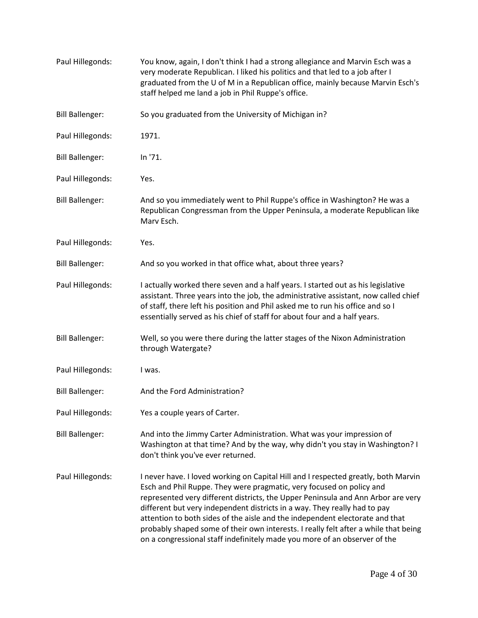| Paul Hillegonds:       | You know, again, I don't think I had a strong allegiance and Marvin Esch was a<br>very moderate Republican. I liked his politics and that led to a job after I<br>graduated from the U of M in a Republican office, mainly because Marvin Esch's<br>staff helped me land a job in Phil Ruppe's office.                                                                                                                                                                                                                                                                          |
|------------------------|---------------------------------------------------------------------------------------------------------------------------------------------------------------------------------------------------------------------------------------------------------------------------------------------------------------------------------------------------------------------------------------------------------------------------------------------------------------------------------------------------------------------------------------------------------------------------------|
| <b>Bill Ballenger:</b> | So you graduated from the University of Michigan in?                                                                                                                                                                                                                                                                                                                                                                                                                                                                                                                            |
| Paul Hillegonds:       | 1971.                                                                                                                                                                                                                                                                                                                                                                                                                                                                                                                                                                           |
| <b>Bill Ballenger:</b> | In '71.                                                                                                                                                                                                                                                                                                                                                                                                                                                                                                                                                                         |
| Paul Hillegonds:       | Yes.                                                                                                                                                                                                                                                                                                                                                                                                                                                                                                                                                                            |
| <b>Bill Ballenger:</b> | And so you immediately went to Phil Ruppe's office in Washington? He was a<br>Republican Congressman from the Upper Peninsula, a moderate Republican like<br>Marv Esch.                                                                                                                                                                                                                                                                                                                                                                                                         |
| Paul Hillegonds:       | Yes.                                                                                                                                                                                                                                                                                                                                                                                                                                                                                                                                                                            |
| <b>Bill Ballenger:</b> | And so you worked in that office what, about three years?                                                                                                                                                                                                                                                                                                                                                                                                                                                                                                                       |
| Paul Hillegonds:       | I actually worked there seven and a half years. I started out as his legislative<br>assistant. Three years into the job, the administrative assistant, now called chief<br>of staff, there left his position and Phil asked me to run his office and so I<br>essentially served as his chief of staff for about four and a half years.                                                                                                                                                                                                                                          |
| <b>Bill Ballenger:</b> | Well, so you were there during the latter stages of the Nixon Administration<br>through Watergate?                                                                                                                                                                                                                                                                                                                                                                                                                                                                              |
| Paul Hillegonds:       | I was.                                                                                                                                                                                                                                                                                                                                                                                                                                                                                                                                                                          |
| <b>Bill Ballenger:</b> | And the Ford Administration?                                                                                                                                                                                                                                                                                                                                                                                                                                                                                                                                                    |
| Paul Hillegonds:       | Yes a couple years of Carter.                                                                                                                                                                                                                                                                                                                                                                                                                                                                                                                                                   |
| <b>Bill Ballenger:</b> | And into the Jimmy Carter Administration. What was your impression of<br>Washington at that time? And by the way, why didn't you stay in Washington? I<br>don't think you've ever returned.                                                                                                                                                                                                                                                                                                                                                                                     |
| Paul Hillegonds:       | I never have. I loved working on Capital Hill and I respected greatly, both Marvin<br>Esch and Phil Ruppe. They were pragmatic, very focused on policy and<br>represented very different districts, the Upper Peninsula and Ann Arbor are very<br>different but very independent districts in a way. They really had to pay<br>attention to both sides of the aisle and the independent electorate and that<br>probably shaped some of their own interests. I really felt after a while that being<br>on a congressional staff indefinitely made you more of an observer of the |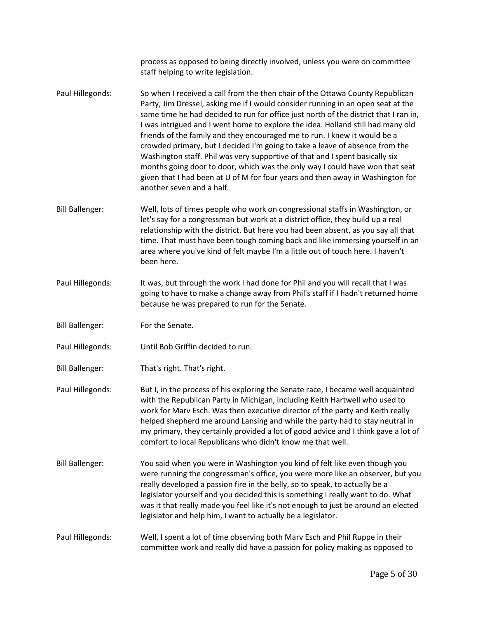process as opposed to being directly involved, unless you were on committee staff helping to write legislation.

- Paul Hillegonds: So when I received a call from the then chair of the Ottawa County Republican Party, Jim Dressel, asking me if I would consider running in an open seat at the same time he had decided to run for office just north of the district that I ran in, I was intrigued and I went home to explore the idea. Holland still had many old friends of the family and they encouraged me to run. I knew it would be a crowded primary, but I decided I'm going to take a leave of absence from the Washington staff. Phil was very supportive of that and I spent basically six months going door to door, which was the only way I could have won that seat given that I had been at U of M for four years and then away in Washington for another seven and a half.
- Bill Ballenger: Well, lots of times people who work on congressional staffs in Washington, or let's say for a congressman but work at a district office, they build up a real relationship with the district. But here you had been absent, as you say all that time. That must have been tough coming back and like immersing yourself in an area where you've kind of felt maybe I'm a little out of touch here. I haven't been here.
- Paul Hillegonds: It was, but through the work I had done for Phil and you will recall that I was going to have to make a change away from Phil's staff if I hadn't returned home because he was prepared to run for the Senate.
- Bill Ballenger: For the Senate.
- Paul Hillegonds: Until Bob Griffin decided to run.
- Bill Ballenger: That's right. That's right.
- Paul Hillegonds: But I, in the process of his exploring the Senate race, I became well acquainted with the Republican Party in Michigan, including Keith Hartwell who used to work for Marv Esch. Was then executive director of the party and Keith really helped shepherd me around Lansing and while the party had to stay neutral in my primary, they certainly provided a lot of good advice and I think gave a lot of comfort to local Republicans who didn't know me that well.
- Bill Ballenger: You said when you were in Washington you kind of felt like even though you were running the congressman's office, you were more like an observer, but you really developed a passion fire in the belly, so to speak, to actually be a legislator yourself and you decided this is something I really want to do. What was it that really made you feel like it's not enough to just be around an elected legislator and help him, I want to actually be a legislator.
- Paul Hillegonds: Well, I spent a lot of time observing both Marv Esch and Phil Ruppe in their committee work and really did have a passion for policy making as opposed to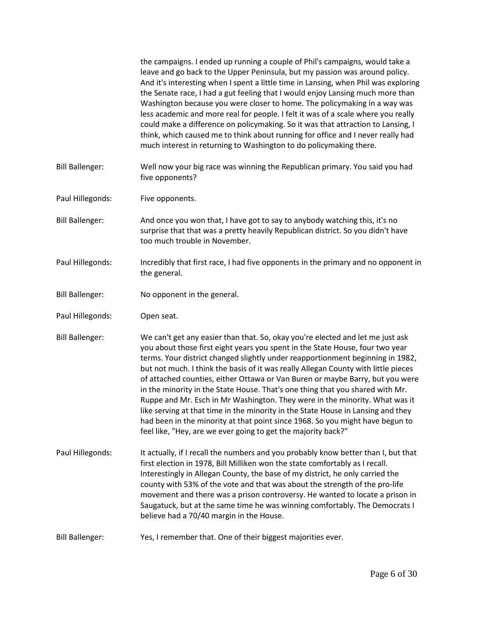|                        | the campaigns. I ended up running a couple of Phil's campaigns, would take a<br>leave and go back to the Upper Peninsula, but my passion was around policy.<br>And it's interesting when I spent a little time in Lansing, when Phil was exploring<br>the Senate race, I had a gut feeling that I would enjoy Lansing much more than<br>Washington because you were closer to home. The policymaking in a way was<br>less academic and more real for people. I felt it was of a scale where you really<br>could make a difference on policymaking. So it was that attraction to Lansing, I<br>think, which caused me to think about running for office and I never really had<br>much interest in returning to Washington to do policymaking there.                                                                            |
|------------------------|--------------------------------------------------------------------------------------------------------------------------------------------------------------------------------------------------------------------------------------------------------------------------------------------------------------------------------------------------------------------------------------------------------------------------------------------------------------------------------------------------------------------------------------------------------------------------------------------------------------------------------------------------------------------------------------------------------------------------------------------------------------------------------------------------------------------------------|
| <b>Bill Ballenger:</b> | Well now your big race was winning the Republican primary. You said you had<br>five opponents?                                                                                                                                                                                                                                                                                                                                                                                                                                                                                                                                                                                                                                                                                                                                 |
| Paul Hillegonds:       | Five opponents.                                                                                                                                                                                                                                                                                                                                                                                                                                                                                                                                                                                                                                                                                                                                                                                                                |
| <b>Bill Ballenger:</b> | And once you won that, I have got to say to anybody watching this, it's no<br>surprise that that was a pretty heavily Republican district. So you didn't have<br>too much trouble in November.                                                                                                                                                                                                                                                                                                                                                                                                                                                                                                                                                                                                                                 |
| Paul Hillegonds:       | Incredibly that first race, I had five opponents in the primary and no opponent in<br>the general.                                                                                                                                                                                                                                                                                                                                                                                                                                                                                                                                                                                                                                                                                                                             |
| <b>Bill Ballenger:</b> | No opponent in the general.                                                                                                                                                                                                                                                                                                                                                                                                                                                                                                                                                                                                                                                                                                                                                                                                    |
| Paul Hillegonds:       | Open seat.                                                                                                                                                                                                                                                                                                                                                                                                                                                                                                                                                                                                                                                                                                                                                                                                                     |
| <b>Bill Ballenger:</b> | We can't get any easier than that. So, okay you're elected and let me just ask<br>you about those first eight years you spent in the State House, four two year<br>terms. Your district changed slightly under reapportionment beginning in 1982,<br>but not much. I think the basis of it was really Allegan County with little pieces<br>of attached counties, either Ottawa or Van Buren or maybe Barry, but you were<br>in the minority in the State House. That's one thing that you shared with Mr.<br>Ruppe and Mr. Esch in Mr Washington. They were in the minority. What was it<br>like serving at that time in the minority in the State House in Lansing and they<br>had been in the minority at that point since 1968. So you might have begun to<br>feel like, "Hey, are we ever going to get the majority back?" |
| Paul Hillegonds:       | It actually, if I recall the numbers and you probably know better than I, but that<br>first election in 1978, Bill Milliken won the state comfortably as I recall.<br>Interestingly in Allegan County, the base of my district, he only carried the<br>county with 53% of the vote and that was about the strength of the pro-life<br>movement and there was a prison controversy. He wanted to locate a prison in<br>Saugatuck, but at the same time he was winning comfortably. The Democrats I<br>believe had a 70/40 margin in the House.                                                                                                                                                                                                                                                                                  |
| <b>Bill Ballenger:</b> | Yes, I remember that. One of their biggest majorities ever.                                                                                                                                                                                                                                                                                                                                                                                                                                                                                                                                                                                                                                                                                                                                                                    |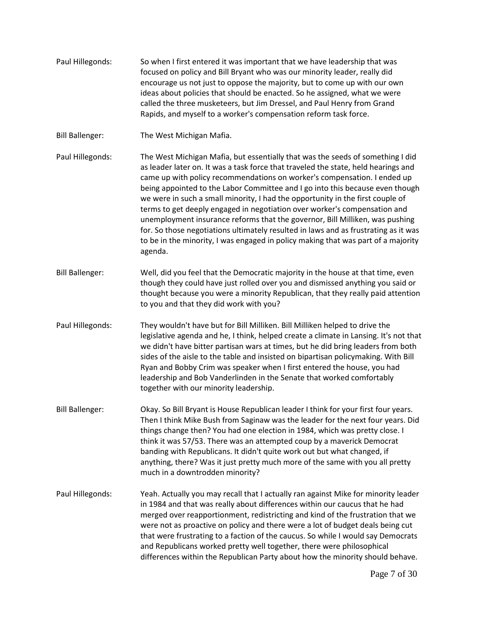Paul Hillegonds: So when I first entered it was important that we have leadership that was focused on policy and Bill Bryant who was our minority leader, really did encourage us not just to oppose the majority, but to come up with our own ideas about policies that should be enacted. So he assigned, what we were called the three musketeers, but Jim Dressel, and Paul Henry from Grand Rapids, and myself to a worker's compensation reform task force. Bill Ballenger: The West Michigan Mafia. Paul Hillegonds: The West Michigan Mafia, but essentially that was the seeds of something I did as leader later on. It was a task force that traveled the state, held hearings and came up with policy recommendations on worker's compensation. I ended up being appointed to the Labor Committee and I go into this because even though we were in such a small minority, I had the opportunity in the first couple of terms to get deeply engaged in negotiation over worker's compensation and unemployment insurance reforms that the governor, Bill Milliken, was pushing for. So those negotiations ultimately resulted in laws and as frustrating as it was to be in the minority, I was engaged in policy making that was part of a majority agenda. Bill Ballenger: Well, did you feel that the Democratic majority in the house at that time, even though they could have just rolled over you and dismissed anything you said or thought because you were a minority Republican, that they really paid attention to you and that they did work with you? Paul Hillegonds: They wouldn't have but for Bill Milliken. Bill Milliken helped to drive the legislative agenda and he, I think, helped create a climate in Lansing. It's not that we didn't have bitter partisan wars at times, but he did bring leaders from both sides of the aisle to the table and insisted on bipartisan policymaking. With Bill Ryan and Bobby Crim was speaker when I first entered the house, you had leadership and Bob Vanderlinden in the Senate that worked comfortably together with our minority leadership. Bill Ballenger: Okay. So Bill Bryant is House Republican leader I think for your first four years. Then I think Mike Bush from Saginaw was the leader for the next four years. Did things change then? You had one election in 1984, which was pretty close. I think it was 57/53. There was an attempted coup by a maverick Democrat banding with Republicans. It didn't quite work out but what changed, if anything, there? Was it just pretty much more of the same with you all pretty much in a downtrodden minority? Paul Hillegonds: Yeah. Actually you may recall that I actually ran against Mike for minority leader in 1984 and that was really about differences within our caucus that he had merged over reapportionment, redistricting and kind of the frustration that we were not as proactive on policy and there were a lot of budget deals being cut that were frustrating to a faction of the caucus. So while I would say Democrats and Republicans worked pretty well together, there were philosophical differences within the Republican Party about how the minority should behave.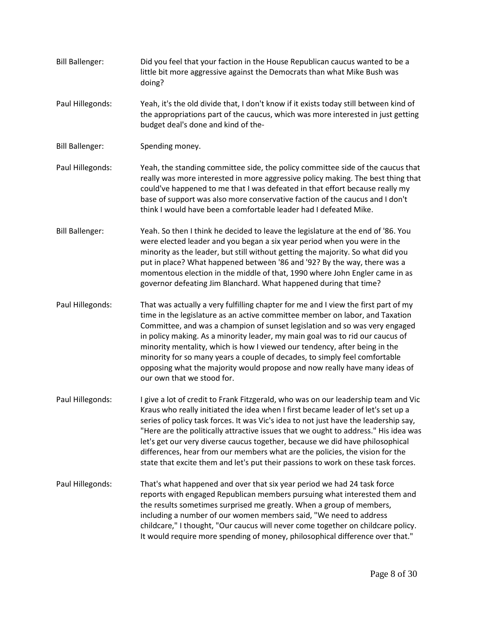- Bill Ballenger: Did you feel that your faction in the House Republican caucus wanted to be a little bit more aggressive against the Democrats than what Mike Bush was doing?
- Paul Hillegonds: Yeah, it's the old divide that, I don't know if it exists today still between kind of the appropriations part of the caucus, which was more interested in just getting budget deal's done and kind of the-
- Bill Ballenger: Spending money.
- Paul Hillegonds: Yeah, the standing committee side, the policy committee side of the caucus that really was more interested in more aggressive policy making. The best thing that could've happened to me that I was defeated in that effort because really my base of support was also more conservative faction of the caucus and I don't think I would have been a comfortable leader had I defeated Mike.
- Bill Ballenger: Yeah. So then I think he decided to leave the legislature at the end of '86. You were elected leader and you began a six year period when you were in the minority as the leader, but still without getting the majority. So what did you put in place? What happened between '86 and '92? By the way, there was a momentous election in the middle of that, 1990 where John Engler came in as governor defeating Jim Blanchard. What happened during that time?
- Paul Hillegonds: That was actually a very fulfilling chapter for me and I view the first part of my time in the legislature as an active committee member on labor, and Taxation Committee, and was a champion of sunset legislation and so was very engaged in policy making. As a minority leader, my main goal was to rid our caucus of minority mentality, which is how I viewed our tendency, after being in the minority for so many years a couple of decades, to simply feel comfortable opposing what the majority would propose and now really have many ideas of our own that we stood for.
- Paul Hillegonds: I give a lot of credit to Frank Fitzgerald, who was on our leadership team and Vic Kraus who really initiated the idea when I first became leader of let's set up a series of policy task forces. It was Vic's idea to not just have the leadership say, "Here are the politically attractive issues that we ought to address." His idea was let's get our very diverse caucus together, because we did have philosophical differences, hear from our members what are the policies, the vision for the state that excite them and let's put their passions to work on these task forces.
- Paul Hillegonds: That's what happened and over that six year period we had 24 task force reports with engaged Republican members pursuing what interested them and the results sometimes surprised me greatly. When a group of members, including a number of our women members said, "We need to address childcare," I thought, "Our caucus will never come together on childcare policy. It would require more spending of money, philosophical difference over that."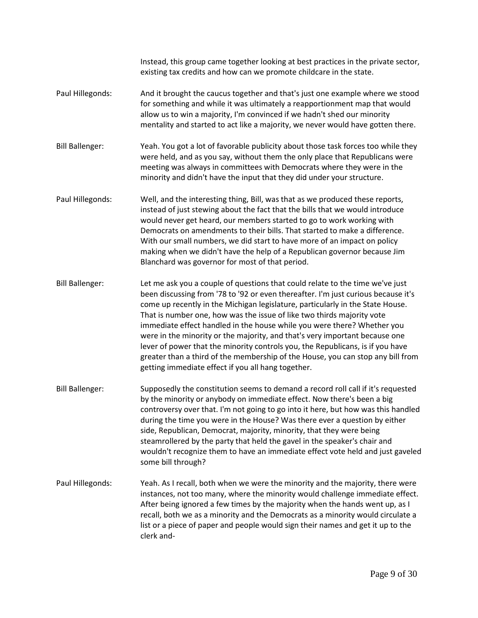Instead, this group came together looking at best practices in the private sector, existing tax credits and how can we promote childcare in the state. Paul Hillegonds: And it brought the caucus together and that's just one example where we stood for something and while it was ultimately a reapportionment map that would allow us to win a majority, I'm convinced if we hadn't shed our minority mentality and started to act like a majority, we never would have gotten there. Bill Ballenger: Yeah. You got a lot of favorable publicity about those task forces too while they were held, and as you say, without them the only place that Republicans were meeting was always in committees with Democrats where they were in the minority and didn't have the input that they did under your structure. Paul Hillegonds: Well, and the interesting thing, Bill, was that as we produced these reports, instead of just stewing about the fact that the bills that we would introduce would never get heard, our members started to go to work working with Democrats on amendments to their bills. That started to make a difference. With our small numbers, we did start to have more of an impact on policy making when we didn't have the help of a Republican governor because Jim Blanchard was governor for most of that period. Bill Ballenger: Let me ask you a couple of questions that could relate to the time we've just been discussing from '78 to '92 or even thereafter. I'm just curious because it's come up recently in the Michigan legislature, particularly in the State House. That is number one, how was the issue of like two thirds majority vote immediate effect handled in the house while you were there? Whether you were in the minority or the majority, and that's very important because one lever of power that the minority controls you, the Republicans, is if you have greater than a third of the membership of the House, you can stop any bill from getting immediate effect if you all hang together. Bill Ballenger: Supposedly the constitution seems to demand a record roll call if it's requested by the minority or anybody on immediate effect. Now there's been a big controversy over that. I'm not going to go into it here, but how was this handled during the time you were in the House? Was there ever a question by either side, Republican, Democrat, majority, minority, that they were being steamrollered by the party that held the gavel in the speaker's chair and wouldn't recognize them to have an immediate effect vote held and just gaveled some bill through? Paul Hillegonds: Yeah. As I recall, both when we were the minority and the majority, there were instances, not too many, where the minority would challenge immediate effect. After being ignored a few times by the majority when the hands went up, as I recall, both we as a minority and the Democrats as a minority would circulate a list or a piece of paper and people would sign their names and get it up to the clerk and-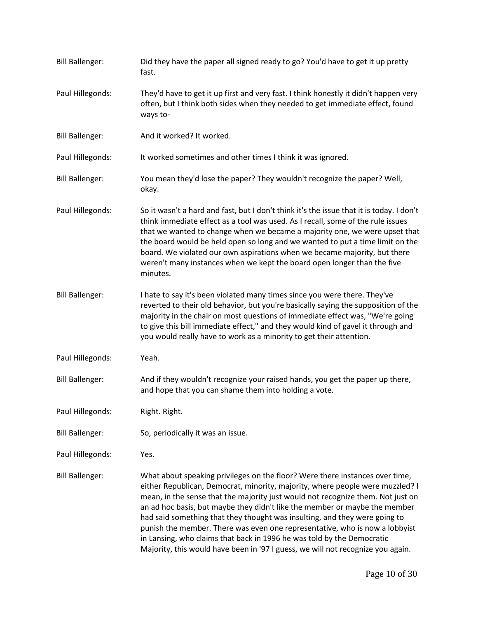| <b>Bill Ballenger:</b> | Did they have the paper all signed ready to go? You'd have to get it up pretty<br>fast.                                                                                                                                                                                                                                                                                                                                                                                                                                                                                                                                                                  |
|------------------------|----------------------------------------------------------------------------------------------------------------------------------------------------------------------------------------------------------------------------------------------------------------------------------------------------------------------------------------------------------------------------------------------------------------------------------------------------------------------------------------------------------------------------------------------------------------------------------------------------------------------------------------------------------|
| Paul Hillegonds:       | They'd have to get it up first and very fast. I think honestly it didn't happen very<br>often, but I think both sides when they needed to get immediate effect, found<br>ways to-                                                                                                                                                                                                                                                                                                                                                                                                                                                                        |
| <b>Bill Ballenger:</b> | And it worked? It worked.                                                                                                                                                                                                                                                                                                                                                                                                                                                                                                                                                                                                                                |
| Paul Hillegonds:       | It worked sometimes and other times I think it was ignored.                                                                                                                                                                                                                                                                                                                                                                                                                                                                                                                                                                                              |
| <b>Bill Ballenger:</b> | You mean they'd lose the paper? They wouldn't recognize the paper? Well,<br>okay.                                                                                                                                                                                                                                                                                                                                                                                                                                                                                                                                                                        |
| Paul Hillegonds:       | So it wasn't a hard and fast, but I don't think it's the issue that it is today. I don't<br>think immediate effect as a tool was used. As I recall, some of the rule issues<br>that we wanted to change when we became a majority one, we were upset that<br>the board would be held open so long and we wanted to put a time limit on the<br>board. We violated our own aspirations when we became majority, but there<br>weren't many instances when we kept the board open longer than the five<br>minutes.                                                                                                                                           |
| <b>Bill Ballenger:</b> | I hate to say it's been violated many times since you were there. They've<br>reverted to their old behavior, but you're basically saying the supposition of the<br>majority in the chair on most questions of immediate effect was, "We're going<br>to give this bill immediate effect," and they would kind of gavel it through and<br>you would really have to work as a minority to get their attention.                                                                                                                                                                                                                                              |
| Paul Hillegonds:       | Yeah.                                                                                                                                                                                                                                                                                                                                                                                                                                                                                                                                                                                                                                                    |
| <b>Bill Ballenger:</b> | And if they wouldn't recognize your raised hands, you get the paper up there,<br>and hope that you can shame them into holding a vote.                                                                                                                                                                                                                                                                                                                                                                                                                                                                                                                   |
| Paul Hillegonds:       | Right. Right.                                                                                                                                                                                                                                                                                                                                                                                                                                                                                                                                                                                                                                            |
| <b>Bill Ballenger:</b> | So, periodically it was an issue.                                                                                                                                                                                                                                                                                                                                                                                                                                                                                                                                                                                                                        |
| Paul Hillegonds:       | Yes.                                                                                                                                                                                                                                                                                                                                                                                                                                                                                                                                                                                                                                                     |
| <b>Bill Ballenger:</b> | What about speaking privileges on the floor? Were there instances over time,<br>either Republican, Democrat, minority, majority, where people were muzzled? I<br>mean, in the sense that the majority just would not recognize them. Not just on<br>an ad hoc basis, but maybe they didn't like the member or maybe the member<br>had said something that they thought was insulting, and they were going to<br>punish the member. There was even one representative, who is now a lobbyist<br>in Lansing, who claims that back in 1996 he was told by the Democratic<br>Majority, this would have been in '97 I guess, we will not recognize you again. |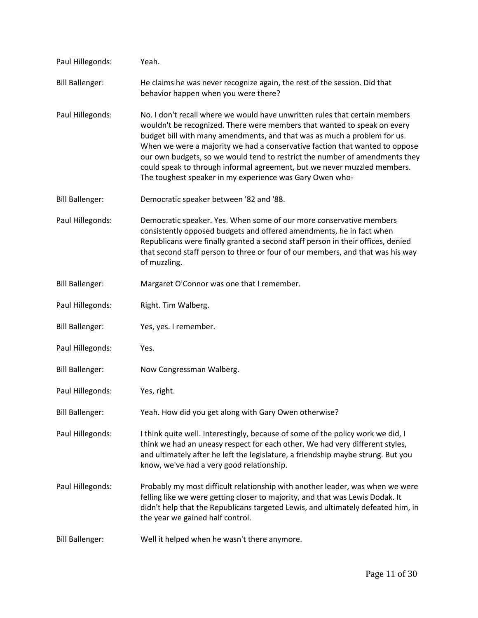| Paul Hillegonds:       | Yeah.                                                                                                                                                                                                                                                                                                                                                                                                                                                                                                                                     |
|------------------------|-------------------------------------------------------------------------------------------------------------------------------------------------------------------------------------------------------------------------------------------------------------------------------------------------------------------------------------------------------------------------------------------------------------------------------------------------------------------------------------------------------------------------------------------|
| <b>Bill Ballenger:</b> | He claims he was never recognize again, the rest of the session. Did that<br>behavior happen when you were there?                                                                                                                                                                                                                                                                                                                                                                                                                         |
| Paul Hillegonds:       | No. I don't recall where we would have unwritten rules that certain members<br>wouldn't be recognized. There were members that wanted to speak on every<br>budget bill with many amendments, and that was as much a problem for us.<br>When we were a majority we had a conservative faction that wanted to oppose<br>our own budgets, so we would tend to restrict the number of amendments they<br>could speak to through informal agreement, but we never muzzled members.<br>The toughest speaker in my experience was Gary Owen who- |
| <b>Bill Ballenger:</b> | Democratic speaker between '82 and '88.                                                                                                                                                                                                                                                                                                                                                                                                                                                                                                   |
| Paul Hillegonds:       | Democratic speaker. Yes. When some of our more conservative members<br>consistently opposed budgets and offered amendments, he in fact when<br>Republicans were finally granted a second staff person in their offices, denied<br>that second staff person to three or four of our members, and that was his way<br>of muzzling.                                                                                                                                                                                                          |
| <b>Bill Ballenger:</b> | Margaret O'Connor was one that I remember.                                                                                                                                                                                                                                                                                                                                                                                                                                                                                                |
| Paul Hillegonds:       | Right. Tim Walberg.                                                                                                                                                                                                                                                                                                                                                                                                                                                                                                                       |
| <b>Bill Ballenger:</b> | Yes, yes. I remember.                                                                                                                                                                                                                                                                                                                                                                                                                                                                                                                     |
| Paul Hillegonds:       | Yes.                                                                                                                                                                                                                                                                                                                                                                                                                                                                                                                                      |
| <b>Bill Ballenger:</b> | Now Congressman Walberg.                                                                                                                                                                                                                                                                                                                                                                                                                                                                                                                  |
| Paul Hillegonds:       | Yes, right.                                                                                                                                                                                                                                                                                                                                                                                                                                                                                                                               |
| <b>Bill Ballenger:</b> | Yeah. How did you get along with Gary Owen otherwise?                                                                                                                                                                                                                                                                                                                                                                                                                                                                                     |
| Paul Hillegonds:       | I think quite well. Interestingly, because of some of the policy work we did, I<br>think we had an uneasy respect for each other. We had very different styles,<br>and ultimately after he left the legislature, a friendship maybe strung. But you<br>know, we've had a very good relationship.                                                                                                                                                                                                                                          |
| Paul Hillegonds:       | Probably my most difficult relationship with another leader, was when we were<br>felling like we were getting closer to majority, and that was Lewis Dodak. It<br>didn't help that the Republicans targeted Lewis, and ultimately defeated him, in<br>the year we gained half control.                                                                                                                                                                                                                                                    |
| <b>Bill Ballenger:</b> | Well it helped when he wasn't there anymore.                                                                                                                                                                                                                                                                                                                                                                                                                                                                                              |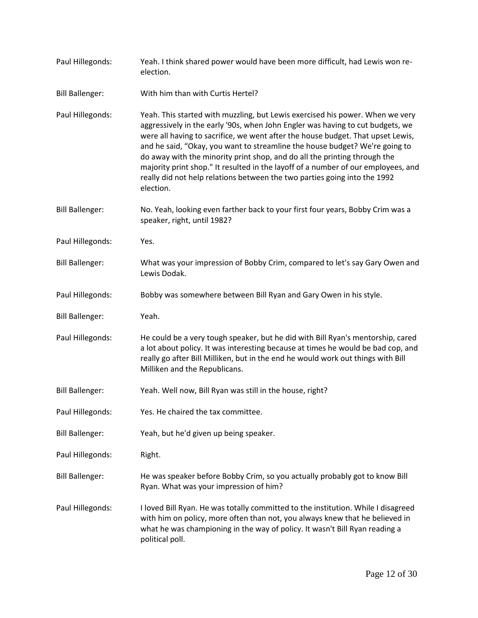| Paul Hillegonds:       | Yeah. I think shared power would have been more difficult, had Lewis won re-<br>election.                                                                                                                                                                                                                                                                                                                                                                                                                                                                                                     |
|------------------------|-----------------------------------------------------------------------------------------------------------------------------------------------------------------------------------------------------------------------------------------------------------------------------------------------------------------------------------------------------------------------------------------------------------------------------------------------------------------------------------------------------------------------------------------------------------------------------------------------|
| <b>Bill Ballenger:</b> | With him than with Curtis Hertel?                                                                                                                                                                                                                                                                                                                                                                                                                                                                                                                                                             |
| Paul Hillegonds:       | Yeah. This started with muzzling, but Lewis exercised his power. When we very<br>aggressively in the early '90s, when John Engler was having to cut budgets, we<br>were all having to sacrifice, we went after the house budget. That upset Lewis,<br>and he said, "Okay, you want to streamline the house budget? We're going to<br>do away with the minority print shop, and do all the printing through the<br>majority print shop." It resulted in the layoff of a number of our employees, and<br>really did not help relations between the two parties going into the 1992<br>election. |
| <b>Bill Ballenger:</b> | No. Yeah, looking even farther back to your first four years, Bobby Crim was a<br>speaker, right, until 1982?                                                                                                                                                                                                                                                                                                                                                                                                                                                                                 |
| Paul Hillegonds:       | Yes.                                                                                                                                                                                                                                                                                                                                                                                                                                                                                                                                                                                          |
| <b>Bill Ballenger:</b> | What was your impression of Bobby Crim, compared to let's say Gary Owen and<br>Lewis Dodak.                                                                                                                                                                                                                                                                                                                                                                                                                                                                                                   |
| Paul Hillegonds:       | Bobby was somewhere between Bill Ryan and Gary Owen in his style.                                                                                                                                                                                                                                                                                                                                                                                                                                                                                                                             |
| <b>Bill Ballenger:</b> | Yeah.                                                                                                                                                                                                                                                                                                                                                                                                                                                                                                                                                                                         |
| Paul Hillegonds:       | He could be a very tough speaker, but he did with Bill Ryan's mentorship, cared<br>a lot about policy. It was interesting because at times he would be bad cop, and<br>really go after Bill Milliken, but in the end he would work out things with Bill<br>Milliken and the Republicans.                                                                                                                                                                                                                                                                                                      |
| <b>Bill Ballenger:</b> | Yeah. Well now, Bill Ryan was still in the house, right?                                                                                                                                                                                                                                                                                                                                                                                                                                                                                                                                      |
| Paul Hillegonds:       | Yes. He chaired the tax committee.                                                                                                                                                                                                                                                                                                                                                                                                                                                                                                                                                            |
| <b>Bill Ballenger:</b> | Yeah, but he'd given up being speaker.                                                                                                                                                                                                                                                                                                                                                                                                                                                                                                                                                        |
| Paul Hillegonds:       | Right.                                                                                                                                                                                                                                                                                                                                                                                                                                                                                                                                                                                        |
| <b>Bill Ballenger:</b> | He was speaker before Bobby Crim, so you actually probably got to know Bill<br>Ryan. What was your impression of him?                                                                                                                                                                                                                                                                                                                                                                                                                                                                         |
| Paul Hillegonds:       | I loved Bill Ryan. He was totally committed to the institution. While I disagreed<br>with him on policy, more often than not, you always knew that he believed in<br>what he was championing in the way of policy. It wasn't Bill Ryan reading a<br>political poll.                                                                                                                                                                                                                                                                                                                           |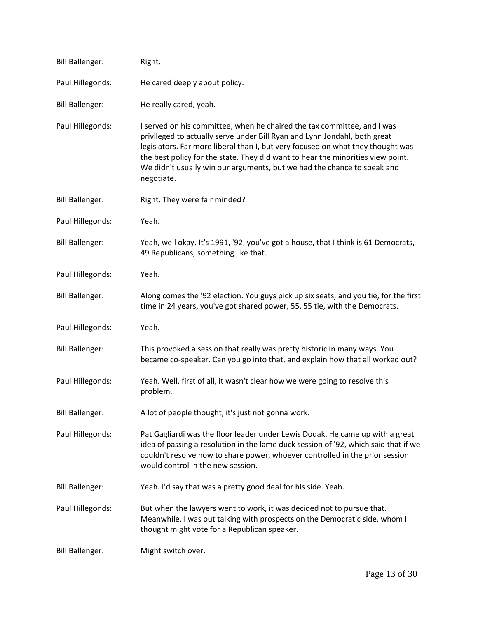| <b>Bill Ballenger:</b> | Right.                                                                                                                                                                                                                                                                                                                                                                                                              |
|------------------------|---------------------------------------------------------------------------------------------------------------------------------------------------------------------------------------------------------------------------------------------------------------------------------------------------------------------------------------------------------------------------------------------------------------------|
| Paul Hillegonds:       | He cared deeply about policy.                                                                                                                                                                                                                                                                                                                                                                                       |
| <b>Bill Ballenger:</b> | He really cared, yeah.                                                                                                                                                                                                                                                                                                                                                                                              |
| Paul Hillegonds:       | I served on his committee, when he chaired the tax committee, and I was<br>privileged to actually serve under Bill Ryan and Lynn Jondahl, both great<br>legislators. Far more liberal than I, but very focused on what they thought was<br>the best policy for the state. They did want to hear the minorities view point.<br>We didn't usually win our arguments, but we had the chance to speak and<br>negotiate. |
| <b>Bill Ballenger:</b> | Right. They were fair minded?                                                                                                                                                                                                                                                                                                                                                                                       |
| Paul Hillegonds:       | Yeah.                                                                                                                                                                                                                                                                                                                                                                                                               |
| <b>Bill Ballenger:</b> | Yeah, well okay. It's 1991, '92, you've got a house, that I think is 61 Democrats,<br>49 Republicans, something like that.                                                                                                                                                                                                                                                                                          |
| Paul Hillegonds:       | Yeah.                                                                                                                                                                                                                                                                                                                                                                                                               |
| <b>Bill Ballenger:</b> | Along comes the '92 election. You guys pick up six seats, and you tie, for the first<br>time in 24 years, you've got shared power, 55, 55 tie, with the Democrats.                                                                                                                                                                                                                                                  |
| Paul Hillegonds:       | Yeah.                                                                                                                                                                                                                                                                                                                                                                                                               |
| <b>Bill Ballenger:</b> | This provoked a session that really was pretty historic in many ways. You<br>became co-speaker. Can you go into that, and explain how that all worked out?                                                                                                                                                                                                                                                          |
| Paul Hillegonds:       | Yeah. Well, first of all, it wasn't clear how we were going to resolve this<br>problem.                                                                                                                                                                                                                                                                                                                             |
| <b>Bill Ballenger:</b> | A lot of people thought, it's just not gonna work.                                                                                                                                                                                                                                                                                                                                                                  |
| Paul Hillegonds:       | Pat Gagliardi was the floor leader under Lewis Dodak. He came up with a great<br>idea of passing a resolution in the lame duck session of '92, which said that if we<br>couldn't resolve how to share power, whoever controlled in the prior session<br>would control in the new session.                                                                                                                           |
| <b>Bill Ballenger:</b> | Yeah. I'd say that was a pretty good deal for his side. Yeah.                                                                                                                                                                                                                                                                                                                                                       |
| Paul Hillegonds:       | But when the lawyers went to work, it was decided not to pursue that.<br>Meanwhile, I was out talking with prospects on the Democratic side, whom I<br>thought might vote for a Republican speaker.                                                                                                                                                                                                                 |
| <b>Bill Ballenger:</b> | Might switch over.                                                                                                                                                                                                                                                                                                                                                                                                  |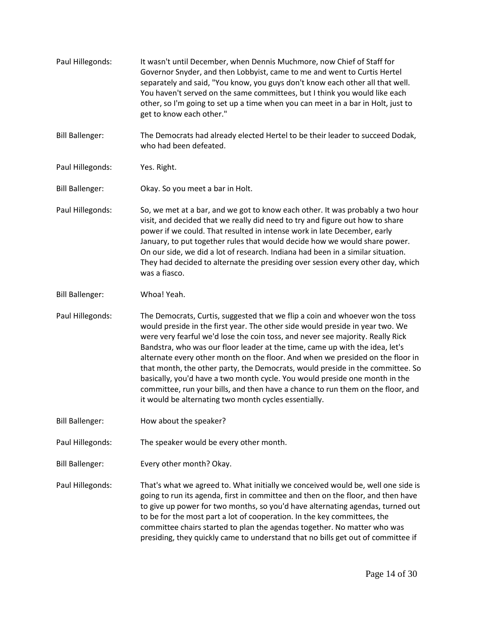Paul Hillegonds: It wasn't until December, when Dennis Muchmore, now Chief of Staff for Governor Snyder, and then Lobbyist, came to me and went to Curtis Hertel separately and said, "You know, you guys don't know each other all that well. You haven't served on the same committees, but I think you would like each other, so I'm going to set up a time when you can meet in a bar in Holt, just to get to know each other." Bill Ballenger: The Democrats had already elected Hertel to be their leader to succeed Dodak, who had been defeated. Paul Hillegonds: Yes. Right. Bill Ballenger: Okay. So you meet a bar in Holt. Paul Hillegonds: So, we met at a bar, and we got to know each other. It was probably a two hour visit, and decided that we really did need to try and figure out how to share power if we could. That resulted in intense work in late December, early January, to put together rules that would decide how we would share power. On our side, we did a lot of research. Indiana had been in a similar situation. They had decided to alternate the presiding over session every other day, which was a fiasco. Bill Ballenger: Whoa! Yeah. Paul Hillegonds: The Democrats, Curtis, suggested that we flip a coin and whoever won the toss would preside in the first year. The other side would preside in year two. We were very fearful we'd lose the coin toss, and never see majority. Really Rick Bandstra, who was our floor leader at the time, came up with the idea, let's alternate every other month on the floor. And when we presided on the floor in that month, the other party, the Democrats, would preside in the committee. So basically, you'd have a two month cycle. You would preside one month in the committee, run your bills, and then have a chance to run them on the floor, and it would be alternating two month cycles essentially. Bill Ballenger: How about the speaker? Paul Hillegonds: The speaker would be every other month. Bill Ballenger: Every other month? Okay. Paul Hillegonds: That's what we agreed to. What initially we conceived would be, well one side is going to run its agenda, first in committee and then on the floor, and then have to give up power for two months, so you'd have alternating agendas, turned out to be for the most part a lot of cooperation. In the key committees, the committee chairs started to plan the agendas together. No matter who was presiding, they quickly came to understand that no bills get out of committee if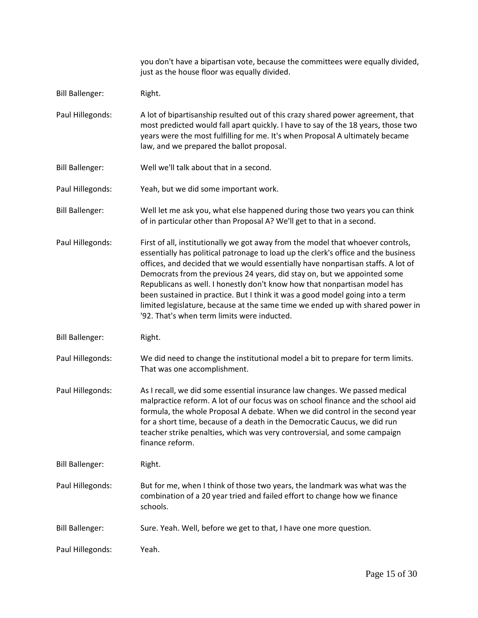|                        | you don't have a bipartisan vote, because the committees were equally divided,<br>just as the house floor was equally divided.                                                                                                                                                                                                                                                                                                                                                                                                                                                                                                       |
|------------------------|--------------------------------------------------------------------------------------------------------------------------------------------------------------------------------------------------------------------------------------------------------------------------------------------------------------------------------------------------------------------------------------------------------------------------------------------------------------------------------------------------------------------------------------------------------------------------------------------------------------------------------------|
| <b>Bill Ballenger:</b> | Right.                                                                                                                                                                                                                                                                                                                                                                                                                                                                                                                                                                                                                               |
| Paul Hillegonds:       | A lot of bipartisanship resulted out of this crazy shared power agreement, that<br>most predicted would fall apart quickly. I have to say of the 18 years, those two<br>years were the most fulfilling for me. It's when Proposal A ultimately became<br>law, and we prepared the ballot proposal.                                                                                                                                                                                                                                                                                                                                   |
| <b>Bill Ballenger:</b> | Well we'll talk about that in a second.                                                                                                                                                                                                                                                                                                                                                                                                                                                                                                                                                                                              |
| Paul Hillegonds:       | Yeah, but we did some important work.                                                                                                                                                                                                                                                                                                                                                                                                                                                                                                                                                                                                |
| <b>Bill Ballenger:</b> | Well let me ask you, what else happened during those two years you can think<br>of in particular other than Proposal A? We'll get to that in a second.                                                                                                                                                                                                                                                                                                                                                                                                                                                                               |
| Paul Hillegonds:       | First of all, institutionally we got away from the model that whoever controls,<br>essentially has political patronage to load up the clerk's office and the business<br>offices, and decided that we would essentially have nonpartisan staffs. A lot of<br>Democrats from the previous 24 years, did stay on, but we appointed some<br>Republicans as well. I honestly don't know how that nonpartisan model has<br>been sustained in practice. But I think it was a good model going into a term<br>limited legislature, because at the same time we ended up with shared power in<br>'92. That's when term limits were inducted. |
| <b>Bill Ballenger:</b> | Right.                                                                                                                                                                                                                                                                                                                                                                                                                                                                                                                                                                                                                               |
| Paul Hillegonds:       | We did need to change the institutional model a bit to prepare for term limits.<br>That was one accomplishment.                                                                                                                                                                                                                                                                                                                                                                                                                                                                                                                      |
| Paul Hillegonds:       | As I recall, we did some essential insurance law changes. We passed medical<br>malpractice reform. A lot of our focus was on school finance and the school aid<br>formula, the whole Proposal A debate. When we did control in the second year<br>for a short time, because of a death in the Democratic Caucus, we did run<br>teacher strike penalties, which was very controversial, and some campaign<br>finance reform.                                                                                                                                                                                                          |
| <b>Bill Ballenger:</b> | Right.                                                                                                                                                                                                                                                                                                                                                                                                                                                                                                                                                                                                                               |
| Paul Hillegonds:       | But for me, when I think of those two years, the landmark was what was the<br>combination of a 20 year tried and failed effort to change how we finance<br>schools.                                                                                                                                                                                                                                                                                                                                                                                                                                                                  |
| <b>Bill Ballenger:</b> | Sure. Yeah. Well, before we get to that, I have one more question.                                                                                                                                                                                                                                                                                                                                                                                                                                                                                                                                                                   |
| Paul Hillegonds:       | Yeah.                                                                                                                                                                                                                                                                                                                                                                                                                                                                                                                                                                                                                                |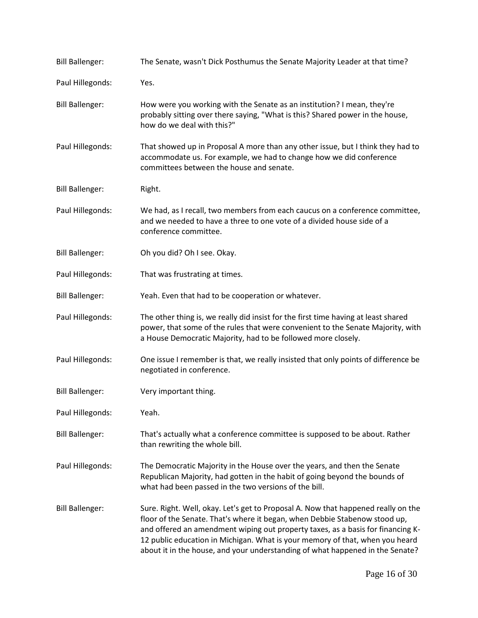| <b>Bill Ballenger:</b> | The Senate, wasn't Dick Posthumus the Senate Majority Leader at that time?                                                                                                                                                                                                                                                                                                                                          |
|------------------------|---------------------------------------------------------------------------------------------------------------------------------------------------------------------------------------------------------------------------------------------------------------------------------------------------------------------------------------------------------------------------------------------------------------------|
| Paul Hillegonds:       | Yes.                                                                                                                                                                                                                                                                                                                                                                                                                |
| <b>Bill Ballenger:</b> | How were you working with the Senate as an institution? I mean, they're<br>probably sitting over there saying, "What is this? Shared power in the house,<br>how do we deal with this?"                                                                                                                                                                                                                              |
| Paul Hillegonds:       | That showed up in Proposal A more than any other issue, but I think they had to<br>accommodate us. For example, we had to change how we did conference<br>committees between the house and senate.                                                                                                                                                                                                                  |
| <b>Bill Ballenger:</b> | Right.                                                                                                                                                                                                                                                                                                                                                                                                              |
| Paul Hillegonds:       | We had, as I recall, two members from each caucus on a conference committee,<br>and we needed to have a three to one vote of a divided house side of a<br>conference committee.                                                                                                                                                                                                                                     |
| <b>Bill Ballenger:</b> | Oh you did? Oh I see. Okay.                                                                                                                                                                                                                                                                                                                                                                                         |
| Paul Hillegonds:       | That was frustrating at times.                                                                                                                                                                                                                                                                                                                                                                                      |
| <b>Bill Ballenger:</b> | Yeah. Even that had to be cooperation or whatever.                                                                                                                                                                                                                                                                                                                                                                  |
| Paul Hillegonds:       | The other thing is, we really did insist for the first time having at least shared<br>power, that some of the rules that were convenient to the Senate Majority, with<br>a House Democratic Majority, had to be followed more closely.                                                                                                                                                                              |
| Paul Hillegonds:       | One issue I remember is that, we really insisted that only points of difference be<br>negotiated in conference.                                                                                                                                                                                                                                                                                                     |
| <b>Bill Ballenger:</b> | Very important thing.                                                                                                                                                                                                                                                                                                                                                                                               |
| Paul Hillegonds:       | Yeah.                                                                                                                                                                                                                                                                                                                                                                                                               |
| <b>Bill Ballenger:</b> | That's actually what a conference committee is supposed to be about. Rather<br>than rewriting the whole bill.                                                                                                                                                                                                                                                                                                       |
| Paul Hillegonds:       | The Democratic Majority in the House over the years, and then the Senate<br>Republican Majority, had gotten in the habit of going beyond the bounds of<br>what had been passed in the two versions of the bill.                                                                                                                                                                                                     |
| <b>Bill Ballenger:</b> | Sure. Right. Well, okay. Let's get to Proposal A. Now that happened really on the<br>floor of the Senate. That's where it began, when Debbie Stabenow stood up,<br>and offered an amendment wiping out property taxes, as a basis for financing K-<br>12 public education in Michigan. What is your memory of that, when you heard<br>about it in the house, and your understanding of what happened in the Senate? |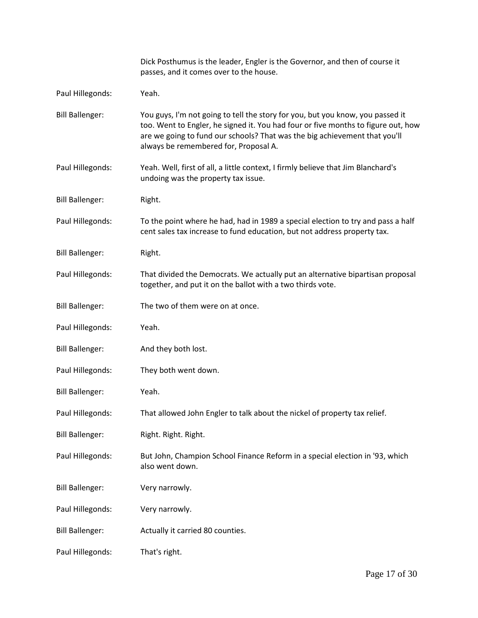|                        | Dick Posthumus is the leader, Engler is the Governor, and then of course it<br>passes, and it comes over to the house.                                                                                                                                                                     |
|------------------------|--------------------------------------------------------------------------------------------------------------------------------------------------------------------------------------------------------------------------------------------------------------------------------------------|
| Paul Hillegonds:       | Yeah.                                                                                                                                                                                                                                                                                      |
| <b>Bill Ballenger:</b> | You guys, I'm not going to tell the story for you, but you know, you passed it<br>too. Went to Engler, he signed it. You had four or five months to figure out, how<br>are we going to fund our schools? That was the big achievement that you'll<br>always be remembered for, Proposal A. |
| Paul Hillegonds:       | Yeah. Well, first of all, a little context, I firmly believe that Jim Blanchard's<br>undoing was the property tax issue.                                                                                                                                                                   |
| <b>Bill Ballenger:</b> | Right.                                                                                                                                                                                                                                                                                     |
| Paul Hillegonds:       | To the point where he had, had in 1989 a special election to try and pass a half<br>cent sales tax increase to fund education, but not address property tax.                                                                                                                               |
| <b>Bill Ballenger:</b> | Right.                                                                                                                                                                                                                                                                                     |
| Paul Hillegonds:       | That divided the Democrats. We actually put an alternative bipartisan proposal<br>together, and put it on the ballot with a two thirds vote.                                                                                                                                               |
| <b>Bill Ballenger:</b> | The two of them were on at once.                                                                                                                                                                                                                                                           |
| Paul Hillegonds:       | Yeah.                                                                                                                                                                                                                                                                                      |
| <b>Bill Ballenger:</b> | And they both lost.                                                                                                                                                                                                                                                                        |
| Paul Hillegonds:       | They both went down.                                                                                                                                                                                                                                                                       |
| <b>Bill Ballenger:</b> | Yeah.                                                                                                                                                                                                                                                                                      |
| Paul Hillegonds:       | That allowed John Engler to talk about the nickel of property tax relief.                                                                                                                                                                                                                  |
| <b>Bill Ballenger:</b> | Right. Right. Right.                                                                                                                                                                                                                                                                       |
| Paul Hillegonds:       | But John, Champion School Finance Reform in a special election in '93, which<br>also went down.                                                                                                                                                                                            |
| <b>Bill Ballenger:</b> | Very narrowly.                                                                                                                                                                                                                                                                             |
| Paul Hillegonds:       | Very narrowly.                                                                                                                                                                                                                                                                             |
| <b>Bill Ballenger:</b> | Actually it carried 80 counties.                                                                                                                                                                                                                                                           |
| Paul Hillegonds:       | That's right.                                                                                                                                                                                                                                                                              |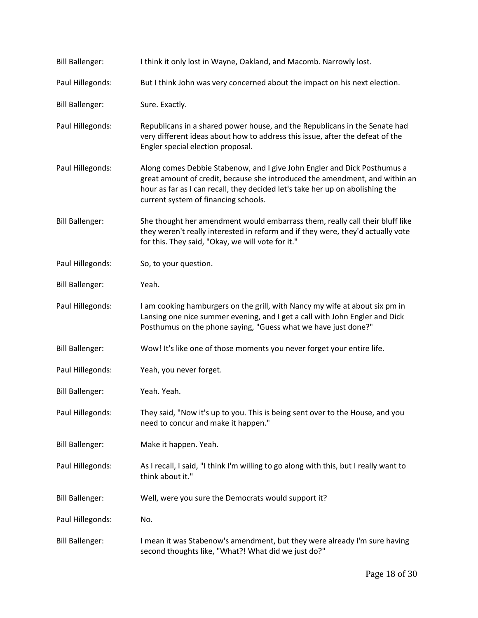| <b>Bill Ballenger:</b> | I think it only lost in Wayne, Oakland, and Macomb. Narrowly lost.                                                                                                                                                                                                               |
|------------------------|----------------------------------------------------------------------------------------------------------------------------------------------------------------------------------------------------------------------------------------------------------------------------------|
| Paul Hillegonds:       | But I think John was very concerned about the impact on his next election.                                                                                                                                                                                                       |
| <b>Bill Ballenger:</b> | Sure. Exactly.                                                                                                                                                                                                                                                                   |
| Paul Hillegonds:       | Republicans in a shared power house, and the Republicans in the Senate had<br>very different ideas about how to address this issue, after the defeat of the<br>Engler special election proposal.                                                                                 |
| Paul Hillegonds:       | Along comes Debbie Stabenow, and I give John Engler and Dick Posthumus a<br>great amount of credit, because she introduced the amendment, and within an<br>hour as far as I can recall, they decided let's take her up on abolishing the<br>current system of financing schools. |
| <b>Bill Ballenger:</b> | She thought her amendment would embarrass them, really call their bluff like<br>they weren't really interested in reform and if they were, they'd actually vote<br>for this. They said, "Okay, we will vote for it."                                                             |
| Paul Hillegonds:       | So, to your question.                                                                                                                                                                                                                                                            |
| <b>Bill Ballenger:</b> | Yeah.                                                                                                                                                                                                                                                                            |
| Paul Hillegonds:       | I am cooking hamburgers on the grill, with Nancy my wife at about six pm in<br>Lansing one nice summer evening, and I get a call with John Engler and Dick<br>Posthumus on the phone saying, "Guess what we have just done?"                                                     |
| <b>Bill Ballenger:</b> | Wow! It's like one of those moments you never forget your entire life.                                                                                                                                                                                                           |
| Paul Hillegonds:       | Yeah, you never forget.                                                                                                                                                                                                                                                          |
| <b>Bill Ballenger:</b> | Yeah. Yeah.                                                                                                                                                                                                                                                                      |
| Paul Hillegonds:       | They said, "Now it's up to you. This is being sent over to the House, and you<br>need to concur and make it happen."                                                                                                                                                             |
| <b>Bill Ballenger:</b> | Make it happen. Yeah.                                                                                                                                                                                                                                                            |
| Paul Hillegonds:       | As I recall, I said, "I think I'm willing to go along with this, but I really want to<br>think about it."                                                                                                                                                                        |
| <b>Bill Ballenger:</b> | Well, were you sure the Democrats would support it?                                                                                                                                                                                                                              |
| Paul Hillegonds:       | No.                                                                                                                                                                                                                                                                              |
| <b>Bill Ballenger:</b> | I mean it was Stabenow's amendment, but they were already I'm sure having<br>second thoughts like, "What?! What did we just do?"                                                                                                                                                 |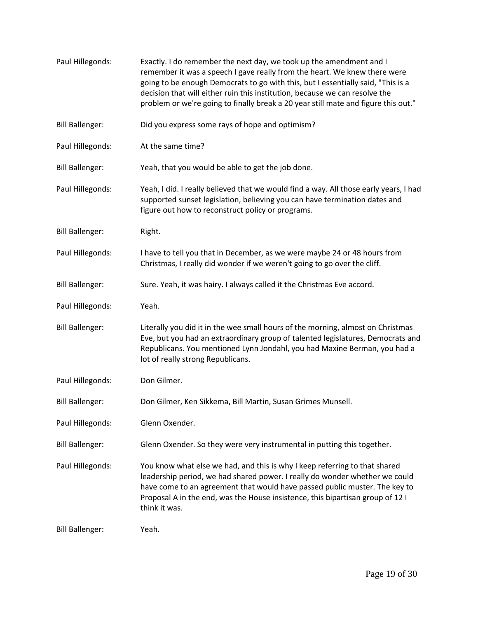| Paul Hillegonds:       | Exactly. I do remember the next day, we took up the amendment and I<br>remember it was a speech I gave really from the heart. We knew there were<br>going to be enough Democrats to go with this, but I essentially said, "This is a<br>decision that will either ruin this institution, because we can resolve the<br>problem or we're going to finally break a 20 year still mate and figure this out." |
|------------------------|-----------------------------------------------------------------------------------------------------------------------------------------------------------------------------------------------------------------------------------------------------------------------------------------------------------------------------------------------------------------------------------------------------------|
| <b>Bill Ballenger:</b> | Did you express some rays of hope and optimism?                                                                                                                                                                                                                                                                                                                                                           |
| Paul Hillegonds:       | At the same time?                                                                                                                                                                                                                                                                                                                                                                                         |
| <b>Bill Ballenger:</b> | Yeah, that you would be able to get the job done.                                                                                                                                                                                                                                                                                                                                                         |
| Paul Hillegonds:       | Yeah, I did. I really believed that we would find a way. All those early years, I had<br>supported sunset legislation, believing you can have termination dates and<br>figure out how to reconstruct policy or programs.                                                                                                                                                                                  |
| <b>Bill Ballenger:</b> | Right.                                                                                                                                                                                                                                                                                                                                                                                                    |
| Paul Hillegonds:       | I have to tell you that in December, as we were maybe 24 or 48 hours from<br>Christmas, I really did wonder if we weren't going to go over the cliff.                                                                                                                                                                                                                                                     |
| <b>Bill Ballenger:</b> | Sure. Yeah, it was hairy. I always called it the Christmas Eve accord.                                                                                                                                                                                                                                                                                                                                    |
| Paul Hillegonds:       | Yeah.                                                                                                                                                                                                                                                                                                                                                                                                     |
| <b>Bill Ballenger:</b> | Literally you did it in the wee small hours of the morning, almost on Christmas<br>Eve, but you had an extraordinary group of talented legislatures, Democrats and<br>Republicans. You mentioned Lynn Jondahl, you had Maxine Berman, you had a<br>lot of really strong Republicans.                                                                                                                      |
| Paul Hillegonds:       | Don Gilmer.                                                                                                                                                                                                                                                                                                                                                                                               |
| <b>Bill Ballenger:</b> | Don Gilmer, Ken Sikkema, Bill Martin, Susan Grimes Munsell.                                                                                                                                                                                                                                                                                                                                               |
| Paul Hillegonds:       | Glenn Oxender.                                                                                                                                                                                                                                                                                                                                                                                            |
| <b>Bill Ballenger:</b> | Glenn Oxender. So they were very instrumental in putting this together.                                                                                                                                                                                                                                                                                                                                   |
| Paul Hillegonds:       | You know what else we had, and this is why I keep referring to that shared<br>leadership period, we had shared power. I really do wonder whether we could<br>have come to an agreement that would have passed public muster. The key to<br>Proposal A in the end, was the House insistence, this bipartisan group of 12 I<br>think it was.                                                                |
| <b>Bill Ballenger:</b> | Yeah.                                                                                                                                                                                                                                                                                                                                                                                                     |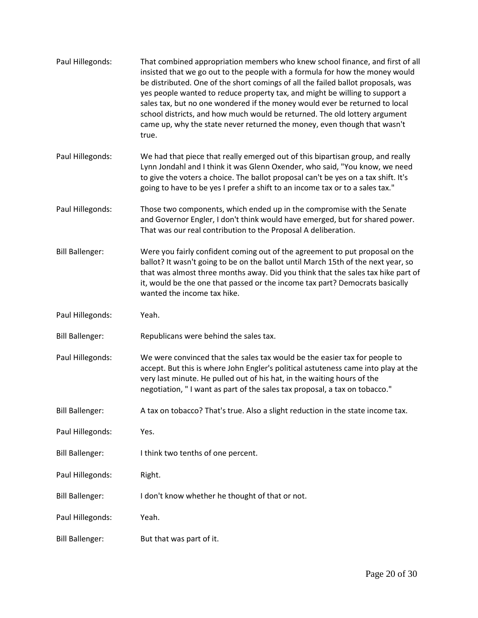| Paul Hillegonds:       | That combined appropriation members who knew school finance, and first of all<br>insisted that we go out to the people with a formula for how the money would<br>be distributed. One of the short comings of all the failed ballot proposals, was<br>yes people wanted to reduce property tax, and might be willing to support a<br>sales tax, but no one wondered if the money would ever be returned to local<br>school districts, and how much would be returned. The old lottery argument<br>came up, why the state never returned the money, even though that wasn't<br>true. |
|------------------------|------------------------------------------------------------------------------------------------------------------------------------------------------------------------------------------------------------------------------------------------------------------------------------------------------------------------------------------------------------------------------------------------------------------------------------------------------------------------------------------------------------------------------------------------------------------------------------|
| Paul Hillegonds:       | We had that piece that really emerged out of this bipartisan group, and really<br>Lynn Jondahl and I think it was Glenn Oxender, who said, "You know, we need<br>to give the voters a choice. The ballot proposal can't be yes on a tax shift. It's<br>going to have to be yes I prefer a shift to an income tax or to a sales tax."                                                                                                                                                                                                                                               |
| Paul Hillegonds:       | Those two components, which ended up in the compromise with the Senate<br>and Governor Engler, I don't think would have emerged, but for shared power.<br>That was our real contribution to the Proposal A deliberation.                                                                                                                                                                                                                                                                                                                                                           |
| <b>Bill Ballenger:</b> | Were you fairly confident coming out of the agreement to put proposal on the<br>ballot? It wasn't going to be on the ballot until March 15th of the next year, so<br>that was almost three months away. Did you think that the sales tax hike part of<br>it, would be the one that passed or the income tax part? Democrats basically<br>wanted the income tax hike.                                                                                                                                                                                                               |
| Paul Hillegonds:       | Yeah.                                                                                                                                                                                                                                                                                                                                                                                                                                                                                                                                                                              |
| <b>Bill Ballenger:</b> | Republicans were behind the sales tax.                                                                                                                                                                                                                                                                                                                                                                                                                                                                                                                                             |
| Paul Hillegonds:       | We were convinced that the sales tax would be the easier tax for people to<br>accept. But this is where John Engler's political astuteness came into play at the<br>very last minute. He pulled out of his hat, in the waiting hours of the<br>negotiation, "I want as part of the sales tax proposal, a tax on tobacco."                                                                                                                                                                                                                                                          |
| <b>Bill Ballenger:</b> | A tax on tobacco? That's true. Also a slight reduction in the state income tax.                                                                                                                                                                                                                                                                                                                                                                                                                                                                                                    |
| Paul Hillegonds:       | Yes.                                                                                                                                                                                                                                                                                                                                                                                                                                                                                                                                                                               |
| <b>Bill Ballenger:</b> | I think two tenths of one percent.                                                                                                                                                                                                                                                                                                                                                                                                                                                                                                                                                 |
| Paul Hillegonds:       | Right.                                                                                                                                                                                                                                                                                                                                                                                                                                                                                                                                                                             |
| <b>Bill Ballenger:</b> | I don't know whether he thought of that or not.                                                                                                                                                                                                                                                                                                                                                                                                                                                                                                                                    |
| Paul Hillegonds:       | Yeah.                                                                                                                                                                                                                                                                                                                                                                                                                                                                                                                                                                              |
| <b>Bill Ballenger:</b> | But that was part of it.                                                                                                                                                                                                                                                                                                                                                                                                                                                                                                                                                           |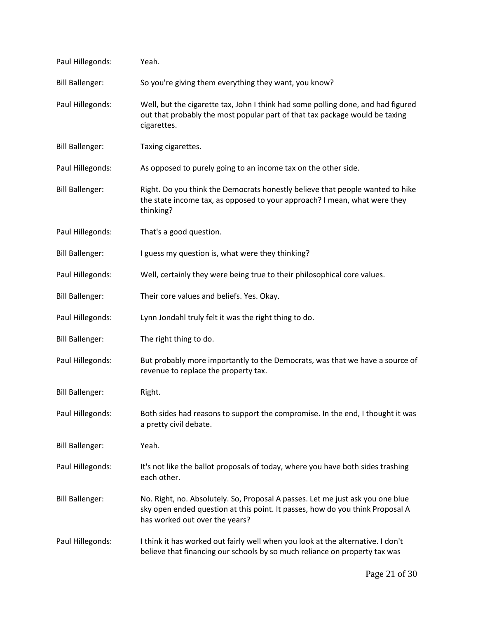| Paul Hillegonds:       | Yeah.                                                                                                                                                                                             |
|------------------------|---------------------------------------------------------------------------------------------------------------------------------------------------------------------------------------------------|
| <b>Bill Ballenger:</b> | So you're giving them everything they want, you know?                                                                                                                                             |
| Paul Hillegonds:       | Well, but the cigarette tax, John I think had some polling done, and had figured<br>out that probably the most popular part of that tax package would be taxing<br>cigarettes.                    |
| <b>Bill Ballenger:</b> | Taxing cigarettes.                                                                                                                                                                                |
| Paul Hillegonds:       | As opposed to purely going to an income tax on the other side.                                                                                                                                    |
| <b>Bill Ballenger:</b> | Right. Do you think the Democrats honestly believe that people wanted to hike<br>the state income tax, as opposed to your approach? I mean, what were they<br>thinking?                           |
| Paul Hillegonds:       | That's a good question.                                                                                                                                                                           |
| <b>Bill Ballenger:</b> | I guess my question is, what were they thinking?                                                                                                                                                  |
| Paul Hillegonds:       | Well, certainly they were being true to their philosophical core values.                                                                                                                          |
| <b>Bill Ballenger:</b> | Their core values and beliefs. Yes. Okay.                                                                                                                                                         |
| Paul Hillegonds:       | Lynn Jondahl truly felt it was the right thing to do.                                                                                                                                             |
| <b>Bill Ballenger:</b> | The right thing to do.                                                                                                                                                                            |
| Paul Hillegonds:       | But probably more importantly to the Democrats, was that we have a source of<br>revenue to replace the property tax.                                                                              |
| <b>Bill Ballenger:</b> | Right.                                                                                                                                                                                            |
| Paul Hillegonds:       | Both sides had reasons to support the compromise. In the end, I thought it was<br>a pretty civil debate.                                                                                          |
| <b>Bill Ballenger:</b> | Yeah.                                                                                                                                                                                             |
| Paul Hillegonds:       | It's not like the ballot proposals of today, where you have both sides trashing<br>each other.                                                                                                    |
| <b>Bill Ballenger:</b> | No. Right, no. Absolutely. So, Proposal A passes. Let me just ask you one blue<br>sky open ended question at this point. It passes, how do you think Proposal A<br>has worked out over the years? |
| Paul Hillegonds:       | I think it has worked out fairly well when you look at the alternative. I don't<br>believe that financing our schools by so much reliance on property tax was                                     |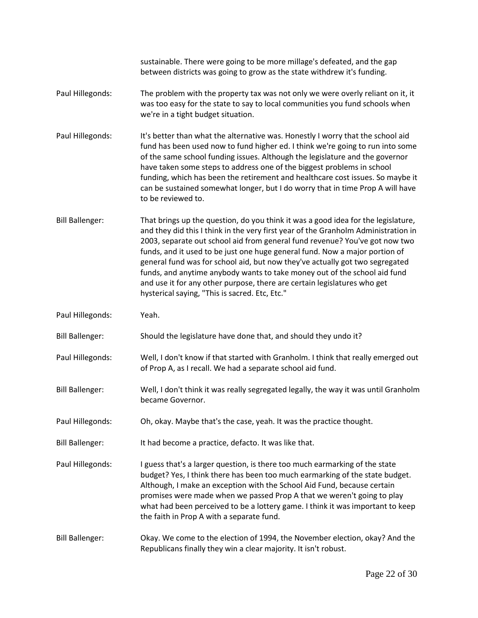|                        | sustainable. There were going to be more millage's defeated, and the gap<br>between districts was going to grow as the state withdrew it's funding.                                                                                                                                                                                                                                                                                                                                                                                                                                                                              |
|------------------------|----------------------------------------------------------------------------------------------------------------------------------------------------------------------------------------------------------------------------------------------------------------------------------------------------------------------------------------------------------------------------------------------------------------------------------------------------------------------------------------------------------------------------------------------------------------------------------------------------------------------------------|
| Paul Hillegonds:       | The problem with the property tax was not only we were overly reliant on it, it<br>was too easy for the state to say to local communities you fund schools when<br>we're in a tight budget situation.                                                                                                                                                                                                                                                                                                                                                                                                                            |
| Paul Hillegonds:       | It's better than what the alternative was. Honestly I worry that the school aid<br>fund has been used now to fund higher ed. I think we're going to run into some<br>of the same school funding issues. Although the legislature and the governor<br>have taken some steps to address one of the biggest problems in school<br>funding, which has been the retirement and healthcare cost issues. So maybe it<br>can be sustained somewhat longer, but I do worry that in time Prop A will have<br>to be reviewed to.                                                                                                            |
| <b>Bill Ballenger:</b> | That brings up the question, do you think it was a good idea for the legislature,<br>and they did this I think in the very first year of the Granholm Administration in<br>2003, separate out school aid from general fund revenue? You've got now two<br>funds, and it used to be just one huge general fund. Now a major portion of<br>general fund was for school aid, but now they've actually got two segregated<br>funds, and anytime anybody wants to take money out of the school aid fund<br>and use it for any other purpose, there are certain legislatures who get<br>hysterical saying, "This is sacred. Etc, Etc." |
| Paul Hillegonds:       | Yeah.                                                                                                                                                                                                                                                                                                                                                                                                                                                                                                                                                                                                                            |
| <b>Bill Ballenger:</b> | Should the legislature have done that, and should they undo it?                                                                                                                                                                                                                                                                                                                                                                                                                                                                                                                                                                  |
| Paul Hillegonds:       | Well, I don't know if that started with Granholm. I think that really emerged out<br>of Prop A, as I recall. We had a separate school aid fund.                                                                                                                                                                                                                                                                                                                                                                                                                                                                                  |
| <b>Bill Ballenger:</b> | Well, I don't think it was really segregated legally, the way it was until Granholm<br>became Governor.                                                                                                                                                                                                                                                                                                                                                                                                                                                                                                                          |
| Paul Hillegonds:       | Oh, okay. Maybe that's the case, yeah. It was the practice thought.                                                                                                                                                                                                                                                                                                                                                                                                                                                                                                                                                              |
| <b>Bill Ballenger:</b> | It had become a practice, defacto. It was like that.                                                                                                                                                                                                                                                                                                                                                                                                                                                                                                                                                                             |
| Paul Hillegonds:       | I guess that's a larger question, is there too much earmarking of the state<br>budget? Yes, I think there has been too much earmarking of the state budget.<br>Although, I make an exception with the School Aid Fund, because certain<br>promises were made when we passed Prop A that we weren't going to play<br>what had been perceived to be a lottery game. I think it was important to keep<br>the faith in Prop A with a separate fund.                                                                                                                                                                                  |
| <b>Bill Ballenger:</b> | Okay. We come to the election of 1994, the November election, okay? And the<br>Republicans finally they win a clear majority. It isn't robust.                                                                                                                                                                                                                                                                                                                                                                                                                                                                                   |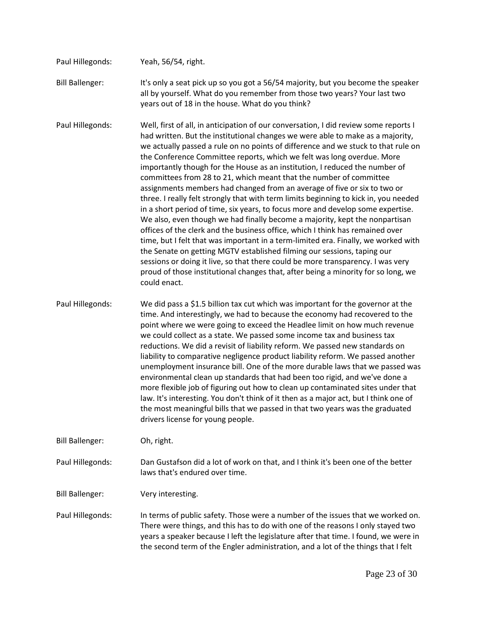- Paul Hillegonds: Yeah, 56/54, right. Bill Ballenger: It's only a seat pick up so you got a 56/54 majority, but you become the speaker all by yourself. What do you remember from those two years? Your last two years out of 18 in the house. What do you think?
- Paul Hillegonds: Well, first of all, in anticipation of our conversation, I did review some reports I had written. But the institutional changes we were able to make as a majority, we actually passed a rule on no points of difference and we stuck to that rule on the Conference Committee reports, which we felt was long overdue. More importantly though for the House as an institution, I reduced the number of committees from 28 to 21, which meant that the number of committee assignments members had changed from an average of five or six to two or three. I really felt strongly that with term limits beginning to kick in, you needed in a short period of time, six years, to focus more and develop some expertise. We also, even though we had finally become a majority, kept the nonpartisan offices of the clerk and the business office, which I think has remained over time, but I felt that was important in a term-limited era. Finally, we worked with the Senate on getting MGTV established filming our sessions, taping our sessions or doing it live, so that there could be more transparency. I was very proud of those institutional changes that, after being a minority for so long, we could enact.
- Paul Hillegonds: We did pass a \$1.5 billion tax cut which was important for the governor at the time. And interestingly, we had to because the economy had recovered to the point where we were going to exceed the Headlee limit on how much revenue we could collect as a state. We passed some income tax and business tax reductions. We did a revisit of liability reform. We passed new standards on liability to comparative negligence product liability reform. We passed another unemployment insurance bill. One of the more durable laws that we passed was environmental clean up standards that had been too rigid, and we've done a more flexible job of figuring out how to clean up contaminated sites under that law. It's interesting. You don't think of it then as a major act, but I think one of the most meaningful bills that we passed in that two years was the graduated drivers license for young people.

Bill Ballenger: Oh, right.

Paul Hillegonds: Dan Gustafson did a lot of work on that, and I think it's been one of the better laws that's endured over time.

Bill Ballenger: Very interesting.

Paul Hillegonds: In terms of public safety. Those were a number of the issues that we worked on. There were things, and this has to do with one of the reasons I only stayed two years a speaker because I left the legislature after that time. I found, we were in the second term of the Engler administration, and a lot of the things that I felt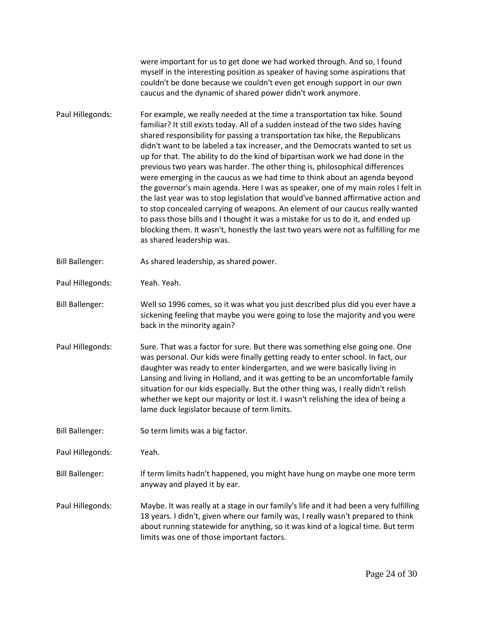were important for us to get done we had worked through. And so, I found myself in the interesting position as speaker of having some aspirations that couldn't be done because we couldn't even get enough support in our own caucus and the dynamic of shared power didn't work anymore.

- Paul Hillegonds: For example, we really needed at the time a transportation tax hike. Sound familiar? It still exists today. All of a sudden instead of the two sides having shared responsibility for passing a transportation tax hike, the Republicans didn't want to be labeled a tax increaser, and the Democrats wanted to set us up for that. The ability to do the kind of bipartisan work we had done in the previous two years was harder. The other thing is, philosophical differences were emerging in the caucus as we had time to think about an agenda beyond the governor's main agenda. Here I was as speaker, one of my main roles I felt in the last year was to stop legislation that would've banned affirmative action and to stop concealed carrying of weapons. An element of our caucus really wanted to pass those bills and I thought it was a mistake for us to do it, and ended up blocking them. It wasn't, honestly the last two years were not as fulfilling for me as shared leadership was.
- Bill Ballenger: As shared leadership, as shared power.

Paul Hillegonds: Yeah. Yeah.

- Bill Ballenger: Well so 1996 comes, so it was what you just described plus did you ever have a sickening feeling that maybe you were going to lose the majority and you were back in the minority again?
- Paul Hillegonds: Sure. That was a factor for sure. But there was something else going one. One was personal. Our kids were finally getting ready to enter school. In fact, our daughter was ready to enter kindergarten, and we were basically living in Lansing and living in Holland, and it was getting to be an uncomfortable family situation for our kids especially. But the other thing was, I really didn't relish whether we kept our majority or lost it. I wasn't relishing the idea of being a lame duck legislator because of term limits.

Bill Ballenger: So term limits was a big factor.

Paul Hillegonds: Yeah.

Bill Ballenger: If term limits hadn't happened, you might have hung on maybe one more term anyway and played it by ear.

Paul Hillegonds: Maybe. It was really at a stage in our family's life and it had been a very fulfilling 18 years. I didn't, given where our family was, I really wasn't prepared to think about running statewide for anything, so it was kind of a logical time. But term limits was one of those important factors.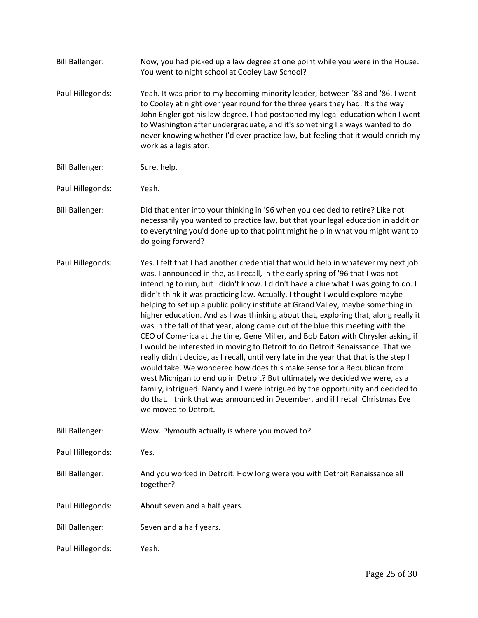| <b>Bill Ballenger:</b> | Now, you had picked up a law degree at one point while you were in the House.<br>You went to night school at Cooley Law School?                                                                                                                                                                                                                                                                                                                                                                                                                                                                                                                                                                                                                                                                                                                                                                                                                                                                                                                                                                                                                                                                                              |
|------------------------|------------------------------------------------------------------------------------------------------------------------------------------------------------------------------------------------------------------------------------------------------------------------------------------------------------------------------------------------------------------------------------------------------------------------------------------------------------------------------------------------------------------------------------------------------------------------------------------------------------------------------------------------------------------------------------------------------------------------------------------------------------------------------------------------------------------------------------------------------------------------------------------------------------------------------------------------------------------------------------------------------------------------------------------------------------------------------------------------------------------------------------------------------------------------------------------------------------------------------|
| Paul Hillegonds:       | Yeah. It was prior to my becoming minority leader, between '83 and '86. I went<br>to Cooley at night over year round for the three years they had. It's the way<br>John Engler got his law degree. I had postponed my legal education when I went<br>to Washington after undergraduate, and it's something I always wanted to do<br>never knowing whether I'd ever practice law, but feeling that it would enrich my<br>work as a legislator.                                                                                                                                                                                                                                                                                                                                                                                                                                                                                                                                                                                                                                                                                                                                                                                |
| <b>Bill Ballenger:</b> | Sure, help.                                                                                                                                                                                                                                                                                                                                                                                                                                                                                                                                                                                                                                                                                                                                                                                                                                                                                                                                                                                                                                                                                                                                                                                                                  |
| Paul Hillegonds:       | Yeah.                                                                                                                                                                                                                                                                                                                                                                                                                                                                                                                                                                                                                                                                                                                                                                                                                                                                                                                                                                                                                                                                                                                                                                                                                        |
| <b>Bill Ballenger:</b> | Did that enter into your thinking in '96 when you decided to retire? Like not<br>necessarily you wanted to practice law, but that your legal education in addition<br>to everything you'd done up to that point might help in what you might want to<br>do going forward?                                                                                                                                                                                                                                                                                                                                                                                                                                                                                                                                                                                                                                                                                                                                                                                                                                                                                                                                                    |
| Paul Hillegonds:       | Yes. I felt that I had another credential that would help in whatever my next job<br>was. I announced in the, as I recall, in the early spring of '96 that I was not<br>intending to run, but I didn't know. I didn't have a clue what I was going to do. I<br>didn't think it was practicing law. Actually, I thought I would explore maybe<br>helping to set up a public policy institute at Grand Valley, maybe something in<br>higher education. And as I was thinking about that, exploring that, along really it<br>was in the fall of that year, along came out of the blue this meeting with the<br>CEO of Comerica at the time, Gene Miller, and Bob Eaton with Chrysler asking if<br>I would be interested in moving to Detroit to do Detroit Renaissance. That we<br>really didn't decide, as I recall, until very late in the year that that is the step I<br>would take. We wondered how does this make sense for a Republican from<br>west Michigan to end up in Detroit? But ultimately we decided we were, as a<br>family, intrigued. Nancy and I were intrigued by the opportunity and decided to<br>do that. I think that was announced in December, and if I recall Christmas Eve<br>we moved to Detroit. |
| <b>Bill Ballenger:</b> | Wow. Plymouth actually is where you moved to?                                                                                                                                                                                                                                                                                                                                                                                                                                                                                                                                                                                                                                                                                                                                                                                                                                                                                                                                                                                                                                                                                                                                                                                |
| Paul Hillegonds:       | Yes.                                                                                                                                                                                                                                                                                                                                                                                                                                                                                                                                                                                                                                                                                                                                                                                                                                                                                                                                                                                                                                                                                                                                                                                                                         |
| <b>Bill Ballenger:</b> | And you worked in Detroit. How long were you with Detroit Renaissance all<br>together?                                                                                                                                                                                                                                                                                                                                                                                                                                                                                                                                                                                                                                                                                                                                                                                                                                                                                                                                                                                                                                                                                                                                       |
| Paul Hillegonds:       | About seven and a half years.                                                                                                                                                                                                                                                                                                                                                                                                                                                                                                                                                                                                                                                                                                                                                                                                                                                                                                                                                                                                                                                                                                                                                                                                |
| <b>Bill Ballenger:</b> | Seven and a half years.                                                                                                                                                                                                                                                                                                                                                                                                                                                                                                                                                                                                                                                                                                                                                                                                                                                                                                                                                                                                                                                                                                                                                                                                      |
| Paul Hillegonds:       | Yeah.                                                                                                                                                                                                                                                                                                                                                                                                                                                                                                                                                                                                                                                                                                                                                                                                                                                                                                                                                                                                                                                                                                                                                                                                                        |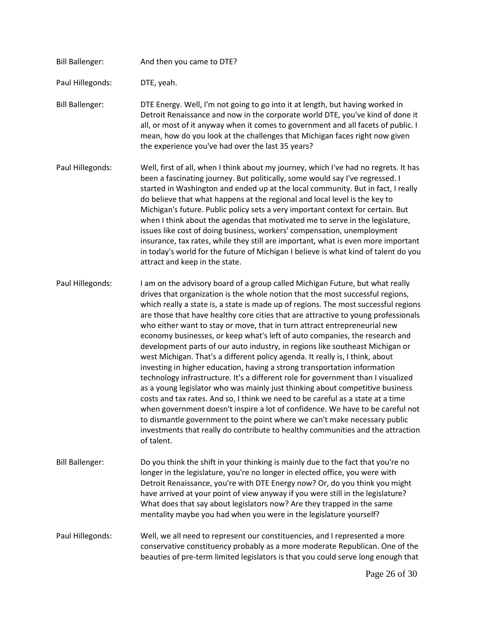| <b>Bill Ballenger:</b> | And then you came to DTE?                                                                                                                                                                                                                                                                                                                                                                                                                                                                                                                                                                                                                                                                                                                                                                                                                                                                                                                                                                                                                                                                                                                                                                                                                                                        |
|------------------------|----------------------------------------------------------------------------------------------------------------------------------------------------------------------------------------------------------------------------------------------------------------------------------------------------------------------------------------------------------------------------------------------------------------------------------------------------------------------------------------------------------------------------------------------------------------------------------------------------------------------------------------------------------------------------------------------------------------------------------------------------------------------------------------------------------------------------------------------------------------------------------------------------------------------------------------------------------------------------------------------------------------------------------------------------------------------------------------------------------------------------------------------------------------------------------------------------------------------------------------------------------------------------------|
| Paul Hillegonds:       | DTE, yeah.                                                                                                                                                                                                                                                                                                                                                                                                                                                                                                                                                                                                                                                                                                                                                                                                                                                                                                                                                                                                                                                                                                                                                                                                                                                                       |
| <b>Bill Ballenger:</b> | DTE Energy. Well, I'm not going to go into it at length, but having worked in<br>Detroit Renaissance and now in the corporate world DTE, you've kind of done it<br>all, or most of it anyway when it comes to government and all facets of public. I<br>mean, how do you look at the challenges that Michigan faces right now given<br>the experience you've had over the last 35 years?                                                                                                                                                                                                                                                                                                                                                                                                                                                                                                                                                                                                                                                                                                                                                                                                                                                                                         |
| Paul Hillegonds:       | Well, first of all, when I think about my journey, which I've had no regrets. It has<br>been a fascinating journey. But politically, some would say I've regressed. I<br>started in Washington and ended up at the local community. But in fact, I really<br>do believe that what happens at the regional and local level is the key to<br>Michigan's future. Public policy sets a very important context for certain. But<br>when I think about the agendas that motivated me to serve in the legislature,<br>issues like cost of doing business, workers' compensation, unemployment<br>insurance, tax rates, while they still are important, what is even more important<br>in today's world for the future of Michigan I believe is what kind of talent do you<br>attract and keep in the state.                                                                                                                                                                                                                                                                                                                                                                                                                                                                             |
| Paul Hillegonds:       | I am on the advisory board of a group called Michigan Future, but what really<br>drives that organization is the whole notion that the most successful regions,<br>which really a state is, a state is made up of regions. The most successful regions<br>are those that have healthy core cities that are attractive to young professionals<br>who either want to stay or move, that in turn attract entrepreneurial new<br>economy businesses, or keep what's left of auto companies, the research and<br>development parts of our auto industry, in regions like southeast Michigan or<br>west Michigan. That's a different policy agenda. It really is, I think, about<br>investing in higher education, having a strong transportation information<br>technology infrastructure. It's a different role for government than I visualized<br>as a young legislator who was mainly just thinking about competitive business<br>costs and tax rates. And so, I think we need to be careful as a state at a time<br>when government doesn't inspire a lot of confidence. We have to be careful not<br>to dismantle government to the point where we can't make necessary public<br>investments that really do contribute to healthy communities and the attraction<br>of talent. |
| <b>Bill Ballenger:</b> | Do you think the shift in your thinking is mainly due to the fact that you're no<br>longer in the legislature, you're no longer in elected office, you were with<br>Detroit Renaissance, you're with DTE Energy now? Or, do you think you might<br>have arrived at your point of view anyway if you were still in the legislature?<br>What does that say about legislators now? Are they trapped in the same<br>mentality maybe you had when you were in the legislature yourself?                                                                                                                                                                                                                                                                                                                                                                                                                                                                                                                                                                                                                                                                                                                                                                                               |
| Paul Hillegonds:       | Well, we all need to represent our constituencies, and I represented a more<br>conservative constituency probably as a more moderate Republican. One of the<br>beauties of pre-term limited legislators is that you could serve long enough that                                                                                                                                                                                                                                                                                                                                                                                                                                                                                                                                                                                                                                                                                                                                                                                                                                                                                                                                                                                                                                 |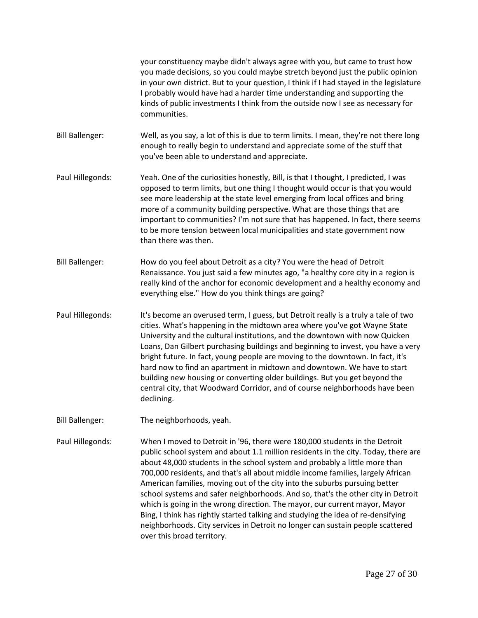your constituency maybe didn't always agree with you, but came to trust how you made decisions, so you could maybe stretch beyond just the public opinion in your own district. But to your question, I think if I had stayed in the legislature I probably would have had a harder time understanding and supporting the kinds of public investments I think from the outside now I see as necessary for communities.

Bill Ballenger: Well, as you say, a lot of this is due to term limits. I mean, they're not there long enough to really begin to understand and appreciate some of the stuff that you've been able to understand and appreciate.

- Paul Hillegonds: Yeah. One of the curiosities honestly, Bill, is that I thought, I predicted, I was opposed to term limits, but one thing I thought would occur is that you would see more leadership at the state level emerging from local offices and bring more of a community building perspective. What are those things that are important to communities? I'm not sure that has happened. In fact, there seems to be more tension between local municipalities and state government now than there was then.
- Bill Ballenger: How do you feel about Detroit as a city? You were the head of Detroit Renaissance. You just said a few minutes ago, "a healthy core city in a region is really kind of the anchor for economic development and a healthy economy and everything else." How do you think things are going?
- Paul Hillegonds: It's become an overused term, I guess, but Detroit really is a truly a tale of two cities. What's happening in the midtown area where you've got Wayne State University and the cultural institutions, and the downtown with now Quicken Loans, Dan Gilbert purchasing buildings and beginning to invest, you have a very bright future. In fact, young people are moving to the downtown. In fact, it's hard now to find an apartment in midtown and downtown. We have to start building new housing or converting older buildings. But you get beyond the central city, that Woodward Corridor, and of course neighborhoods have been declining.
- Bill Ballenger: The neighborhoods, yeah.

Paul Hillegonds: When I moved to Detroit in '96, there were 180,000 students in the Detroit public school system and about 1.1 million residents in the city. Today, there are about 48,000 students in the school system and probably a little more than 700,000 residents, and that's all about middle income families, largely African American families, moving out of the city into the suburbs pursuing better school systems and safer neighborhoods. And so, that's the other city in Detroit which is going in the wrong direction. The mayor, our current mayor, Mayor Bing, I think has rightly started talking and studying the idea of re-densifying neighborhoods. City services in Detroit no longer can sustain people scattered over this broad territory.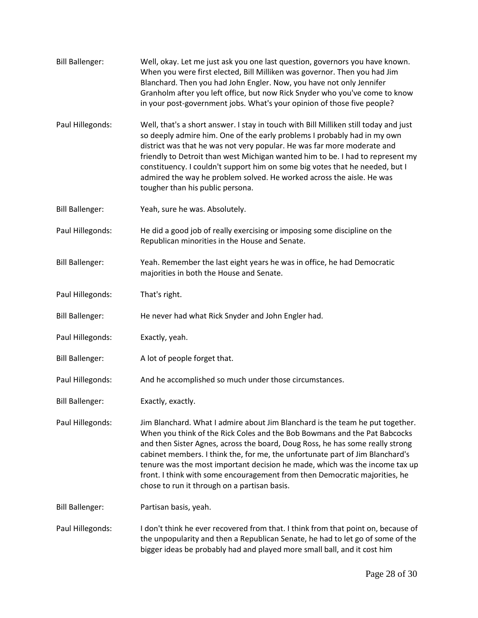| <b>Bill Ballenger:</b> | Well, okay. Let me just ask you one last question, governors you have known.<br>When you were first elected, Bill Milliken was governor. Then you had Jim<br>Blanchard. Then you had John Engler. Now, you have not only Jennifer<br>Granholm after you left office, but now Rick Snyder who you've come to know<br>in your post-government jobs. What's your opinion of those five people?                                                                                                                                               |
|------------------------|-------------------------------------------------------------------------------------------------------------------------------------------------------------------------------------------------------------------------------------------------------------------------------------------------------------------------------------------------------------------------------------------------------------------------------------------------------------------------------------------------------------------------------------------|
| Paul Hillegonds:       | Well, that's a short answer. I stay in touch with Bill Milliken still today and just<br>so deeply admire him. One of the early problems I probably had in my own<br>district was that he was not very popular. He was far more moderate and<br>friendly to Detroit than west Michigan wanted him to be. I had to represent my<br>constituency. I couldn't support him on some big votes that he needed, but I<br>admired the way he problem solved. He worked across the aisle. He was<br>tougher than his public persona.                |
| <b>Bill Ballenger:</b> | Yeah, sure he was. Absolutely.                                                                                                                                                                                                                                                                                                                                                                                                                                                                                                            |
| Paul Hillegonds:       | He did a good job of really exercising or imposing some discipline on the<br>Republican minorities in the House and Senate.                                                                                                                                                                                                                                                                                                                                                                                                               |
| <b>Bill Ballenger:</b> | Yeah. Remember the last eight years he was in office, he had Democratic<br>majorities in both the House and Senate.                                                                                                                                                                                                                                                                                                                                                                                                                       |
| Paul Hillegonds:       | That's right.                                                                                                                                                                                                                                                                                                                                                                                                                                                                                                                             |
| <b>Bill Ballenger:</b> | He never had what Rick Snyder and John Engler had.                                                                                                                                                                                                                                                                                                                                                                                                                                                                                        |
| Paul Hillegonds:       | Exactly, yeah.                                                                                                                                                                                                                                                                                                                                                                                                                                                                                                                            |
| <b>Bill Ballenger:</b> | A lot of people forget that.                                                                                                                                                                                                                                                                                                                                                                                                                                                                                                              |
| Paul Hillegonds:       | And he accomplished so much under those circumstances.                                                                                                                                                                                                                                                                                                                                                                                                                                                                                    |
| <b>Bill Ballenger:</b> | Exactly, exactly.                                                                                                                                                                                                                                                                                                                                                                                                                                                                                                                         |
| Paul Hillegonds:       | Jim Blanchard. What I admire about Jim Blanchard is the team he put together.<br>When you think of the Rick Coles and the Bob Bowmans and the Pat Babcocks<br>and then Sister Agnes, across the board, Doug Ross, he has some really strong<br>cabinet members. I think the, for me, the unfortunate part of Jim Blanchard's<br>tenure was the most important decision he made, which was the income tax up<br>front. I think with some encouragement from then Democratic majorities, he<br>chose to run it through on a partisan basis. |
| <b>Bill Ballenger:</b> | Partisan basis, yeah.                                                                                                                                                                                                                                                                                                                                                                                                                                                                                                                     |
| Paul Hillegonds:       | I don't think he ever recovered from that. I think from that point on, because of<br>the unpopularity and then a Republican Senate, he had to let go of some of the<br>bigger ideas be probably had and played more small ball, and it cost him                                                                                                                                                                                                                                                                                           |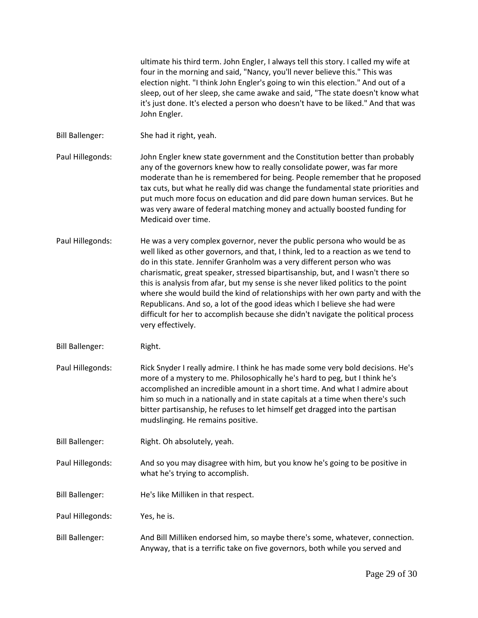ultimate his third term. John Engler, I always tell this story. I called my wife at four in the morning and said, "Nancy, you'll never believe this." This was election night. "I think John Engler's going to win this election." And out of a sleep, out of her sleep, she came awake and said, "The state doesn't know what it's just done. It's elected a person who doesn't have to be liked." And that was John Engler.

- Bill Ballenger: She had it right, yeah.
- Paul Hillegonds: John Engler knew state government and the Constitution better than probably any of the governors knew how to really consolidate power, was far more moderate than he is remembered for being. People remember that he proposed tax cuts, but what he really did was change the fundamental state priorities and put much more focus on education and did pare down human services. But he was very aware of federal matching money and actually boosted funding for Medicaid over time.
- Paul Hillegonds: He was a very complex governor, never the public persona who would be as well liked as other governors, and that, I think, led to a reaction as we tend to do in this state. Jennifer Granholm was a very different person who was charismatic, great speaker, stressed bipartisanship, but, and I wasn't there so this is analysis from afar, but my sense is she never liked politics to the point where she would build the kind of relationships with her own party and with the Republicans. And so, a lot of the good ideas which I believe she had were difficult for her to accomplish because she didn't navigate the political process very effectively.
- Bill Ballenger: Right.
- Paul Hillegonds: Rick Snyder I really admire. I think he has made some very bold decisions. He's more of a mystery to me. Philosophically he's hard to peg, but I think he's accomplished an incredible amount in a short time. And what I admire about him so much in a nationally and in state capitals at a time when there's such bitter partisanship, he refuses to let himself get dragged into the partisan mudslinging. He remains positive.
- Bill Ballenger: Right. Oh absolutely, yeah.
- Paul Hillegonds: And so you may disagree with him, but you know he's going to be positive in what he's trying to accomplish.
- Bill Ballenger: He's like Milliken in that respect.
- Paul Hillegonds: Yes, he is.
- Bill Ballenger: And Bill Milliken endorsed him, so maybe there's some, whatever, connection. Anyway, that is a terrific take on five governors, both while you served and